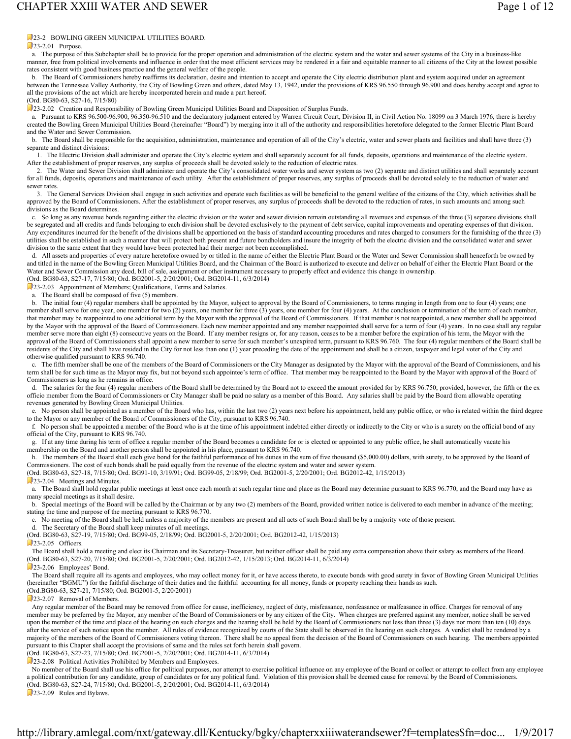### **23-2 BOWLING GREEN MUNICIPAL UTILITIES BOARD.**

#### $23-2.01$  Purpose.

 a. The purpose of this Subchapter shall be to provide for the proper operation and administration of the electric system and the water and sewer systems of the City in a business-like manner, free from political involvements and influence in order that the most efficient services may be rendered in a fair and equitable manner to all citizens of the City at the lowest possible rates consistent with good business practice and the general welfare of the people.

 b. The Board of Commissioners hereby reaffirms its declaration, desire and intention to accept and operate the City electric distribution plant and system acquired under an agreement between the Tennessee Valley Authority, the City of Bowling Green and others, dated May 13, 1942, under the provisions of KRS 96.550 through 96.900 and does hereby accept and agree to all the provisions of the act which are hereby incorporated herein and made a part hereof.

(Ord. BG80-63, S27-16, 7/15/80)

23-2.02 Creation and Responsibility of Bowling Green Municipal Utilities Board and Disposition of Surplus Funds.

 a. Pursuant to KRS 96.500-96.900, 96.350-96.510 and the declaratory judgment entered by Warren Circuit Court, Division II, in Civil Action No. 18099 on 3 March 1976, there is hereby created the Bowling Green Municipal Utilities Board (hereinafter "Board") by merging into it all of the authority and responsibilities heretofore delegated to the former Electric Plant Board and the Water and Sewer Commission.

b. The Board shall be responsible for the acquisition, administration, maintenance and operation of all of the City's electric, water and sewer plants and facilities and shall have three (3) separate and distinct divisions:

 1. The Electric Division shall administer and operate the City's electric system and shall separately account for all funds, deposits, operations and maintenance of the electric system. After the establishment of proper reserves, any surplus of proceeds shall be devoted solely to the reduction of electric rates.

 2. The Water and Sewer Division shall administer and operate the City's consolidated water works and sewer system as two (2) separate and distinct utilities and shall separately account for all funds, deposits, operations and maintenance of each utility. After the establishment of proper reserves, any surplus of proceeds shall be devoted solely to the reduction of water and sewer rates.

 3. The General Services Division shall engage in such activities and operate such facilities as will be beneficial to the general welfare of the citizens of the City, which activities shall be approved by the Board of Commissioners. After the establishment of proper reserves, any surplus of proceeds shall be devoted to the reduction of rates, in such amounts and among such divisions as the Board determines.

 c. So long as any revenue bonds regarding either the electric division or the water and sewer division remain outstanding all revenues and expenses of the three (3) separate divisions shall be segregated and all credits and funds belonging to each division shall be devoted exclusively to the payment of debt service, capital improvements and operating expenses of that division. Any expenditures incurred for the benefit of the divisions shall be apportioned on the basis of standard accounting procedures and rates charged to consumers for the furnishing of the three (3) utilities shall be established in such a manner that will protect both present and future bondholders and insure the integrity of both the electric division and the consolidated water and sewer division to the same extent that they would have been protected had their merger not been accomplished.

 d. All assets and properties of every nature heretofore owned by or titled in the name of either the Electric Plant Board or the Water and Sewer Commission shall henceforth be owned by and titled in the name of the Bowling Green Municipal Utilities Board, and the Chairman of the Board is authorized to execute and deliver on behalf of either the Electric Plant Board or the Water and Sewer Commission any deed, bill of sale, assignment or other instrument necessary to properly effect and evidence this change in ownership. (Ord. BG80-63, S27-17, 7/15/80; Ord. BG2001-5, 2/20/2001; Ord. BG2014-11, 6/3/2014)

23-2.03 Appointment of Members; Qualifications, Terms and Salaries.

The Board shall be composed of five (5) members.

b. The initial four (4) regular members shall be appointed by the Mayor, subject to approval by the Board of Commissioners, to terms ranging in length from one to four (4) years; one member shall serve for one year, one member for two (2) years, one member for three (3) years, one member for four (4) years. At the conclusion or termination of the term of each member, that member may be reappointed to one additional term by the Mayor with the approval of the Board of Commissioners. If that member is not reappointed, a new member shall be appointed by the Mayor with the approval of the Board of Commissioners. Each new member appointed and any member reappointed shall serve for a term of four (4) years. In no case shall any regular member serve more than eight (8) consecutive years on the Board. If any member resigns or, for any reason, ceases to be a member before the expiration of his term, the Mayor with the approval of the Board of Commissioners shall appoint a new member to serve for such member's unexpired term, pursuant to KRS 96.760. The four (4) regular members of the Board shall be residents of the City and shall have resided in the City for not less than one (1) year preceding the date of the appointment and shall be a citizen, taxpayer and legal voter of the City and otherwise qualified pursuant to KRS 96.740.

 c. The fifth member shall be one of the members of the Board of Commissioners or the City Manager as designated by the Mayor with the approval of the Board of Commissioners, and his term shall be for such time as the Mayor may fix, but not beyond such appointee's term of office. That member may be reappointed to the Board by the Mayor with approval of the Board of Commissioners as long as he remains in office.

d. The salaries for the four (4) regular members of the Board shall be determined by the Board not to exceed the amount provided for by KRS 96.750; provided, however, the fifth or the ex officio member from the Board of Commissioners or City Manager shall be paid no salary as a member of this Board. Any salaries shall be paid by the Board from allowable operating revenues generated by Bowling Green Municipal Utilities.

 e. No person shall be appointed as a member of the Board who has, within the last two (2) years next before his appointment, held any public office, or who is related within the third degree to the Mayor or any member of the Board of Commissioners of the City, pursuant to KRS 96.740.

 f. No person shall be appointed a member of the Board who is at the time of his appointment indebted either directly or indirectly to the City or who is a surety on the official bond of any official of the City, pursuant to KRS 96.740.

 g. If at any time during his term of office a regular member of the Board becomes a candidate for or is elected or appointed to any public office, he shall automatically vacate his membership on the Board and another person shall be appointed in his place, pursuant to KRS 96.740.

h. The members of the Board shall each give bond for the faithful performance of his duties in the sum of five thousand (\$5,000.00) dollars, with surety, to be approved by the Board of Commissioners. The cost of such bonds shall be paid equally from the revenue of the electric system and water and sewer system.

(Ord. BG80-63, S27-18, 7/15/80; Ord. BG91-10, 3/19/91; Ord. BG99-05, 2/18/99; Ord. BG2001-5, 2/20/2001; Ord. BG2012-42, 1/15/2013)

23-2.04 Meetings and Minutes.

 a. The Board shall hold regular public meetings at least once each month at such regular time and place as the Board may determine pursuant to KRS 96.770, and the Board may have as many special meetings as it shall desire.

 b. Special meetings of the Board will be called by the Chairman or by any two (2) members of the Board, provided written notice is delivered to each member in advance of the meeting; stating the time and purpose of the meeting pursuant to KRS 96.770.

c. No meeting of the Board shall be held unless a majority of the members are present and all acts of such Board shall be by a majority vote of those present.

d. The Secretary of the Board shall keep minutes of all meetings.

(Ord. BG80-63, S27-19, 7/15/80; Ord. BG99-05, 2/18/99; Ord. BG2001-5, 2/20/2001; Ord. BG2012-42, 1/15/2013)

 $23-2.05$  Officers.

 The Board shall hold a meeting and elect its Chairman and its Secretary-Treasurer, but neither officer shall be paid any extra compensation above their salary as members of the Board. (Ord. BG80-63, S27-20, 7/15/80; Ord. BG2001-5, 2/20/2001; Ord. BG2012-42, 1/15/2013; Ord. BG2014-11, 6/3/2014)

#### 23-2.06 Employees' Bond.

The Board shall require all its agents and employees, who may collect money for it, or have access thereto, to execute bonds with good surety in favor of Bowling Green Municipal Utilities (hereinafter "BGMU") for the faithful discharge of their duties and the faithful accounting for all money, funds or property reaching their hands as such. (Ord.BG80-63, S27-21, 7/15/80; Ord. BG2001-5, 2/20/2001)

23-2.07 Removal of Members.

 Any regular member of the Board may be removed from office for cause, inefficiency, neglect of duty, misfeasance, nonfeasance or malfeasance in office. Charges for removal of any member may be preferred by the Mayor, any member of the Board of Commissioners or by any citizen of the City. When charges are preferred against any member, notice shall be served upon the member of the time and place of the hearing on such charges and the hearing shall be held by the Board of Commissioners not less than three (3) days nor more than ten (10) days after the service of such notice upon the member. All rules of evidence recognized by courts of the State shall be observed in the hearing on such charges. A verdict shall be rendered by a majority of the members of the Board of Commissioners voting thereon. There shall be no appeal from the decision of the Board of Commissioners on such hearing. The members appointed pursuant to this Chapter shall accept the provisions of same and the rules set forth herein shall govern. (Ord. BG80-63, S27-23, 7/15/80; Ord. BG2001-5, 2/20/2001; Ord. BG2014-11, 6/3/2014)

**23-2.08** Political Activities Prohibited by Members and Employees.

No member of the Board shall use his office for political purposes, nor attempt to exercise political influence on any employee of the Board or collect or attempt to collect from any employee a political contribution for any candidate, group of candidates or for any political fund. Violation of this provision shall be deemed cause for removal by the Board of Commissioners. (Ord. BG80-63, S27-24, 7/15/80; Ord. BG2001-5, 2/20/2001; Ord. BG2014-11, 6/3/2014)

23-2.09 Rules and Bylaws.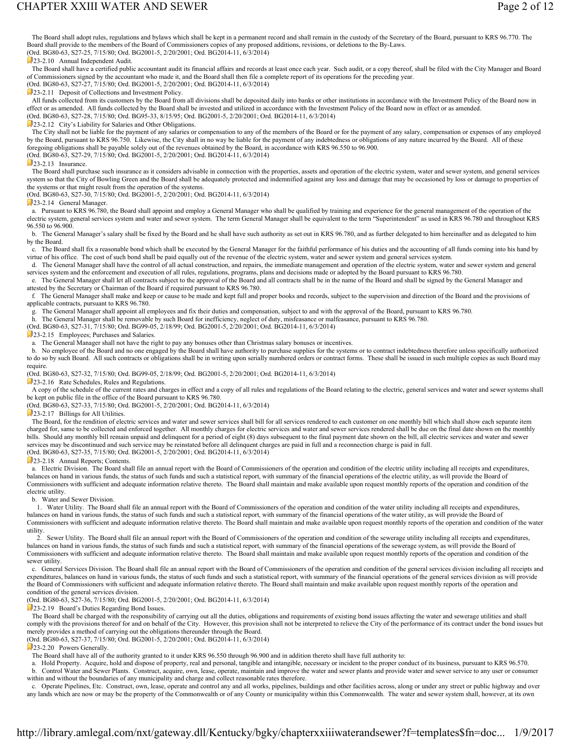## CHAPTER XXIII WATER AND SEWER **Page 2 of 12**

The Board shall adopt rules, regulations and bylaws which shall be kept in a permanent record and shall remain in the custody of the Secretary of the Board, pursuant to KRS 96.770. The Board shall provide to the members of the Board of Commissioners copies of any proposed additions, revisions, or deletions to the By-Laws.

(Ord. BG80-63, S27-25, 7/15/80; Ord. BG2001-5, 2/20/2001; Ord. BG2014-11, 6/3/2014)

23-2.10 Annual Independent Audit.

 The Board shall have a certified public accountant audit its financial affairs and records at least once each year. Such audit, or a copy thereof, shall be filed with the City Manager and Board of Commissioners signed by the accountant who made it, and the Board shall then file a complete report of its operations for the preceding year. (Ord. BG80-63, S27-27, 7/15/80; Ord. BG2001-5, 2/20/2001; Ord. BG2014-11, 6/3/2014)

23-2.11 Deposit of Collections and Investment Policy.

All funds collected from its customers by the Board from all divisions shall be deposited daily into banks or other institutions in accordance with the Investment Policy of the Board now in effect or as amended. All funds collected by the Board shall be invested and utilized in accordance with the Investment Policy of the Board now in effect or as amended. (Ord. BG80-63, S27-28, 7/15/80; Ord. BG95-33, 8/15/95; Ord. BG2001-5, 2/20/2001; Ord. BG2014-11, 6/3/2014)

**23-2.12** City's Liability for Salaries and Other Obligations.

The City shall not be liable for the payment of any salaries or compensation to any of the members of the Board or for the payment of any salary, compensation or expenses of any employed by the Board, pursuant to KRS 96.750. Likewise, the City shall in no way be liable for the payment of any indebtedness or obligations of any nature incurred by the Board. All of these foregoing obligations shall be payable solely out of the revenues obtained by the Board, in accordance with KRS 96.550 to 96.900. (Ord. BG80-63, S27-29, 7/15/80; Ord. BG2001-5, 2/20/2001; Ord. BG2014-11, 6/3/2014)

 $23-213$  Insurance

The Board shall purchase such insurance as it considers advisable in connection with the properties, assets and operation of the electric system, water and sewer system, and general services system so that the City of Bowling Green and the Board shall be adequately protected and indemnified against any loss and damage that may be occasioned by loss or damage to properties of the systems or that might result from the operation of the systems.

(Ord. BG80-63, S27-30, 7/15/80; Ord. BG2001-5, 2/20/2001; Ord. BG2014-11, 6/3/2014)

23-2.14 General Manager.

 a. Pursuant to KRS 96.780, the Board shall appoint and employ a General Manager who shall be qualified by training and experience for the general management of the operation of the electric system, general services system and water and sewer system. The term General Manager shall be equivalent to the term "Superintendent" as used in KRS 96.780 and throughout KRS 96.550 to 96.900.

b. The General Manager's salary shall be fixed by the Board and he shall have such authority as set out in KRS 96.780, and as further delegated to him hereinafter and as delegated to him by the Board.

 c. The Board shall fix a reasonable bond which shall be executed by the General Manager for the faithful performance of his duties and the accounting of all funds coming into his hand by virtue of his office. The cost of such bond shall be paid equally out of the revenue of the electric system, water and sewer system and general services system.

 d. The General Manager shall have the control of all actual construction, and repairs, the immediate management and operation of the electric system, water and sewer system and general services system and the enforcement and execution of all rules, regulations, programs, plans and decisions made or adopted by the Board pursuant to KRS 96.780.

 e. The General Manager shall let all contracts subject to the approval of the Board and all contracts shall be in the name of the Board and shall be signed by the General Manager and attested by the Secretary or Chairman of the Board if required pursuant to KRS 96.780.

 f. The General Manager shall make and keep or cause to be made and kept full and proper books and records, subject to the supervision and direction of the Board and the provisions of applicable contracts, pursuant to KRS 96.780.

g. The General Manager shall appoint all employees and fix their duties and compensation, subject to and with the approval of the Board, pursuant to KRS 96.780.

h. The General Manager shall be removable by such Board for inefficiency, neglect of duty, misfeasance or malfeasance, pursuant to KRS 96.780.

(Ord. BG80-63, S27-31, 7/15/80; Ord. BG99-05, 2/18/99; Ord. BG2001-5, 2/20/2001; Ord. BG2014-11, 6/3/2014)

23-2.15 Employees; Purchases and Salaries.

a. The General Manager shall not have the right to pay any bonuses other than Christmas salary bonuses or incentives.

 b. No employee of the Board and no one engaged by the Board shall have authority to purchase supplies for the systems or to contract indebtedness therefore unless specifically authorized to do so by such Board. All such contracts or obligations shall be in writing upon serially numbered orders or contract forms. These shall be issued in such multiple copies as such Board may require.

(Ord. BG80-63, S27-32, 7/15/80; Ord. BG99-05, 2/18/99; Ord. BG2001-5, 2/20/2001; Ord. BG2014-11, 6/3/2014)

23-2.16 Rate Schedules, Rules and Regulations.

A copy of the schedule of the current rates and charges in effect and a copy of all rules and regulations of the Board relating to the electric, general services and water and sewer systems shall be kept on public file in the office of the Board pursuant to KRS 96.780.

(Ord. BG80-63, S27-33, 7/15/80; Ord. BG2001-5, 2/20/2001; Ord. BG2014-11, 6/3/2014)

23-2.17 Billings for All Utilities.

The Board, for the rendition of electric services and water and sewer services shall bill for all services rendered to each customer on one monthly bill which shall show each separate item charged for, same to be collected and enforced together. All monthly charges for electric services and water and sewer services rendered shall be due on the final date shown on the monthly bills. Should any monthly bill remain unpaid and delinquent for a period of eight (8) days subsequent to the final payment date shown on the bill, all electric services and water and sewer services may be discontinued and such service may be reinstated before all delinquent charges are paid in full and a reconnection charge is paid in full. (Ord. BG80-63, S27-35, 7/15/80; Ord. BG2001-5, 2/20/2001; Ord. BG2014-11, 6/3/2014)

23-2.18 Annual Reports; Contents.

a. Electric Division. The Board shall file an annual report with the Board of Commissioners of the operation and condition of the electric utility including all receipts and expenditures, balances on hand in various funds, the status of such funds and such a statistical report, with summary of the financial operations of the electric utility, as will provide the Board of Commissioners with sufficient and adequate information relative thereto. The Board shall maintain and make available upon request monthly reports of the operation and condition of the electric utility.

b. Water and Sewer Division.

 1. Water Utility. The Board shall file an annual report with the Board of Commissioners of the operation and condition of the water utility including all receipts and expenditures, balances on hand in various funds, the status of such funds and such a statistical report, with summary of the financial operations of the water utility, as will provide the Board of Commissioners with sufficient and adequate information relative thereto. The Board shall maintain and make available upon request monthly reports of the operation and condition of the water utility.

 2. Sewer Utility. The Board shall file an annual report with the Board of Commissioners of the operation and condition of the sewerage utility including all receipts and expenditures, balances on hand in various funds, the status of such funds and such a statistical report, with summary of the financial operations of the sewerage system, as will provide the Board of Commissioners with sufficient and adequate information relative thereto. The Board shall maintain and make available upon request monthly reports of the operation and condition of the sewer utility.

 c. General Services Division. The Board shall file an annual report with the Board of Commissioners of the operation and condition of the general services division including all receipts and expenditures, balances on hand in various funds, the status of such funds and such a statistical report, with summary of the financial operations of the general services division as will provide the Board of Commissioners with sufficient and adequate information relative thereto. The Board shall maintain and make available upon request monthly reports of the operation and condition of the general services division.

(Ord. BG80-63, S27-36, 7/15/80; Ord. BG2001-5, 2/20/2001; Ord. BG2014-11, 6/3/2014)

23-2.19 Board's Duties Regarding Bond Issues.

The Board shall be charged with the responsibility of carrying out all the duties, obligations and requirements of existing bond issues affecting the water and sewerage utilities and shall comply with the provisions thereof for and on behalf of the City. However, this provision shall not be interpreted to relieve the City of the performance of its contract under the bond issues but merely provides a method of carrying out the obligations thereunder through the Board.

(Ord. BG80-63, S27-37, 7/15/80; Ord. BG2001-5, 2/20/2001; Ord. BG2014-11, 6/3/2014)

23-2.20 Powers Generally.

The Board shall have all of the authority granted to it under KRS 96.550 through 96.900 and in addition thereto shall have full authority to:

 a. Hold Property. Acquire, hold and dispose of property, real and personal, tangible and intangible, necessary or incident to the proper conduct of its business, pursuant to KRS 96.570. b. Control Water and Sewer Plants. Construct, acquire, own, lease, operate, maintain and improve the water and sewer plants and provide water and sewer service to any user or consumer

within and without the boundaries of any municipality and charge and collect reasonable rates therefore.

 c. Operate Pipelines, Etc. Construct, own, lease, operate and control any and all works, pipelines, buildings and other facilities across, along or under any street or public highway and over any lands which are now or may be the property of the Commonwealth or of any County or municipality within this Commonwealth. The water and sewer system shall, however, at its own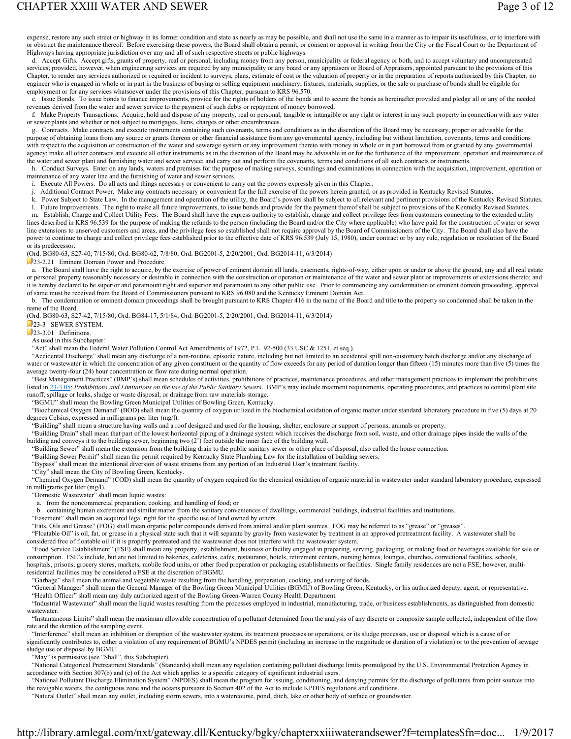## CHAPTER XXIII WATER AND SEWER **Page 3 of 12**

expense, restore any such street or highway in its former condition and state as nearly as may be possible, and shall not use the same in a manner as to impair its usefulness, or to interfere with or obstruct the maintenance thereof. Before exercising these powers, the Board shall obtain a permit, or consent or approval in writing from the City or the Fiscal Court or the Department of Highways having appropriate jurisdiction over any and all of such respective streets or public highways.

 d. Accept Gifts. Accept gifts, grants of property, real or personal, including money from any person, municipality or federal agency or both, and to accept voluntary and uncompensated services; provided, however, when engineering services are required by any municipality or any board or any appraisers or Board of Appraisers, appointed pursuant to the provisions of this Chapter, to render any services authorized or required or incident to surveys, plans, estimate of cost or the valuation of property or in the preparation of reports authorized by this Chapter, no engineer who is engaged in whole or in part in the business of buying or selling equipment machinery, fixtures, materials, supplies, or the sale or purchase of bonds shall be eligible for employment or for any services whatsoever under the provisions of this Chapter, pursuant to KRS 96.570.

 e. Issue Bonds. To issue bonds to finance improvements, provide for the rights of holders of the bonds and to secure the bonds as hereinafter provided and pledge all or any of the needed revenues derived from the water and sewer service to the payment of such debts or repayment of money borrowed.

 f. Make Property Transactions. Acquire, hold and dispose of any property, real or personal, tangible or intangible or any right or interest in any such property in connection with any water or sewer plants and whether or not subject to mortgages, liens, charges or other encumbrances.

 g. Contracts. Make contracts and execute instruments containing such covenants, terms and conditions as in the discretion of the Board may be necessary, proper or advisable for the purpose of obtaining loans from any source or grants thereon or other financial assistance from any governmental agency, including but without limitation, covenants, terms and conditions with respect to the acquisition or construction of the water and sewerage system or any improvement thereto with money in whole or in part borrowed from or granted by any governmental agency; make all other contracts and execute all other instruments as in the discretion of the Board may be advisable in or for the furtherance of the improvement, operation and maintenance of the water and sewer plant and furnishing water and sewer service; and carry out and perform the covenants, terms and conditions of all such contracts or instruments.

 h. Conduct Surveys. Enter on any lands, waters and premises for the purpose of making surveys, soundings and examinations in connection with the acquisition, improvement, operation or maintenance of any water line and the furnishing of water and sewer services.

i. Execute All Powers. Do all acts and things necessary or convenient to carry out the powers expressly given in this Chapter.

j. Additional Contract Power. Make any contracts necessary or convenient for the full exercise of the powers herein granted, or as provided in Kentucky Revised Statutes.

k. Power Subject to State Law. In the management and operation of the utility, the Board's powers shall be subject to all relevant and pertinent provisions of the Kentucky Revised Statutes.

 l. Future Improvements. The right to make all future improvements, to issue bonds and provide for the payment thereof shall be subject to provisions of the Kentucky Revised Statutes. m. Establish, Charge and Collect Utility Fees. The Board shall have the express authority to establish, charge and collect privilege fees from customers connecting to the extended utility

lines described in KRS 96.539 for the purpose of making the refunds to the person (including the Board and/or the City where applicable) who have paid for the construction of water or sewer line extensions to unserved customers and areas, and the privilege fees so established shall not require approval by the Board of Commissioners of the City. The Board shall also have the power to continue to charge and collect privilege fees established prior to the effective date of KRS 96.539 (July 15, 1980), under contract or by any rule, regulation or resolution of the Board or its predecessor.

(Ord. BG80-63, S27-40, 7/15/80; Ord. BG80-62, 7/8/80; Ord. BG2001-5, 2/20/2001; Ord. BG2014-11, 6/3/2014)

23-2.21 Eminent Domain Power and Procedure.

 a. The Board shall have the right to acquire, by the exercise of power of eminent domain all lands, easements, rights-of-way, either upon or under or above the ground, any and all real estate or personal property reasonably necessary or desirable in connection with the construction or operation or maintenance of the water and sewer plant or improvements or extensions thereto; and it is hereby declared to be superior and paramount right and superior and paramount to any other public use. Prior to commencing any condemnation or eminent domain proceeding, approval of same must be received from the Board of Commissioners pursuant to KRS 96.080 and the Kentucky Eminent Domain Act.

 b. The condemnation or eminent domain proceedings shall be brought pursuant to KRS Chapter 416 in the name of the Board and title to the property so condemned shall be taken in the name of the Board.

(Ord. BG80-63, S27-42, 7/15/80; Ord. BG84-17, 5/1/84; Ord. BG2001-5, 2/20/2001; Ord. BG2014-11, 6/3/2014)

23-3 SEWER SYSTEM.

 $23-3.01$  Definitions.

As used in this Subchapter:

"Act" shall mean the Federal Water Pollution Control Act Amendments of 1972, P.L. 92-500 (33 USC & 1251, et seq.).

 "Accidental Discharge" shall mean any discharge of a non-routine, episodic nature, including but not limited to an accidental spill non-customary batch discharge and/or any discharge of water or wastewater in which the concentration of any given constituent or the quantity of flow exceeds for any period of duration longer than fifteen (15) minutes more than five (5) times the average twenty-four (24) hour concentration or flow rate during normal operation.

 "Best Management Practices" (BMP's) shall mean schedules of activities, prohibitions of practices, maintenance procedures, and other management practices to implement the prohibitions listed in 23-3.05: *Prohibitions and Limitations on the use of the Public Sanitary Sewers*. BMP's may include treatment requirements, operating procedures, and practices to control plant site runoff, spillage or leaks, sludge or waste disposal, or drainage from raw materials storage.

"BGMU" shall mean the Bowling Green Municipal Utilities of Bowling Green, Kentucky.

 "Biochemical Oxygen Demand" (BOD) shall mean the quantity of oxygen utilized in the biochemical oxidation of organic matter under standard laboratory procedure in five (5) days at 20 degrees Celsius, expressed in milligrams per liter (mg/l).

"Building" shall mean a structure having walls and a roof designed and used for the housing, shelter, enclosure or support of persons, animals or property.

 "Building Drain" shall mean that part of the lowest horizontal piping of a drainage system which receives the discharge from soil, waste, and other drainage pipes inside the walls of the building and conveys it to the building sewer, beginning two  $(2')$  feet outside the inner face of the building wall.

"Building Sewer" shall mean the extension from the building drain to the public sanitary sewer or other place of disposal, also called the house connection.

"Building Sewer Permit" shall mean the permit required by Kentucky State Plumbing Law for the installation of building sewers.

"Bypass" shall mean the intentional diversion of waste streams from any portion of an Industrial User's treatment facility.

"City" shall mean the City of Bowling Green, Kentucky.

 "Chemical Oxygen Demand" (COD) shall mean the quantity of oxygen required for the chemical oxidation of organic material in wastewater under standard laboratory procedure, expressed in milligrams per liter (mg/l).

"Domestic Wastewater" shall mean liquid wastes:

a. from the noncommercial preparation, cooking, and handling of food; or

b. containing human excrement and similar matter from the sanitary conveniences of dwellings, commercial buildings, industrial facilities and institutions.

"Easement" shall mean an acquired legal right for the specific use of land owned by others.

"Fats, Oils and Grease" (FOG) shall mean organic polar compounds derived from animal and/or plant sources. FOG may be referred to as "grease" or "greases".

 "Floatable Oil" is oil, fat, or grease in a physical state such that it will separate by gravity from wastewater by treatment in an approved pretreatment facility. A wastewater shall be considered free of floatable oil if it is properly pretreated and the wastewater does not interfere with the wastewater system.

 "Food Service Establishment" (FSE) shall mean any property, establishment, business or facility engaged in preparing, serving, packaging, or making food or beverages available for sale or consumption. FSE's include, but are not limited to bakeries, cafeterias, cafes, restaurants, hotels, retirement centers, nursing homes, lounges, churches, correctional facilities, schools, hospitals, prisons, grocery stores, markets, mobile food units, or other food preparation or packaging establishments or facilities. Single family residences are not a FSE; however, multiresidential facilities may be considered a FSE at the discretion of BGMU.

"Garbage" shall mean the animal and vegetable waste resulting from the handling, preparation, cooking, and serving of foods.

"General Manager" shall mean the General Manager of the Bowling Green Municipal Utilities (BGMU) of Bowling Green, Kentucky, or his authorized deputy, agent, or representative. "Health Officer" shall mean any duly authorized agent of the Bowling Green-Warren County Health Department.

 "Industrial Wastewater" shall mean the liquid wastes resulting from the processes employed in industrial, manufacturing, trade, or business establishments, as distinguished from domestic wastewater.

 "Instantaneous Limits" shall mean the maximum allowable concentration of a pollutant determined from the analysis of any discrete or composite sample collected, independent of the flow rate and the duration of the sampling event.

 "Interference" shall mean an inhibition or disruption of the wastewater system, its treatment processes or operations, or its sludge processes, use or disposal which is a cause of or significantly contributes to, either a violation of any requirement of BGMU's NPDES permit (including an increase in the magnitude or duration of a violation) or to the prevention of sewage sludge use or disposal by BGMU.

"May" is permissive (see "Shall", this Subchapter).

 "National Categorical Pretreatment Standards" (Standards) shall mean any regulation containing pollutant discharge limits promulgated by the U.S. Environmental Protection Agency in accordance with Section 307(b) and (c) of the Act which applies to a specific category of significant industrial users.

 "National Pollutant Discharge Elimination System" (NPDES) shall mean the program for issuing, conditioning, and denying permits for the discharge of pollutants from point sources into the navigable waters, the contiguous zone and the oceans pursuant to Section 402 of the Act to include KPDES regulations and conditions.

"Natural Outlet" shall mean any outlet, including storm sewers, into a watercourse, pond, ditch, lake or other body of surface or groundwater.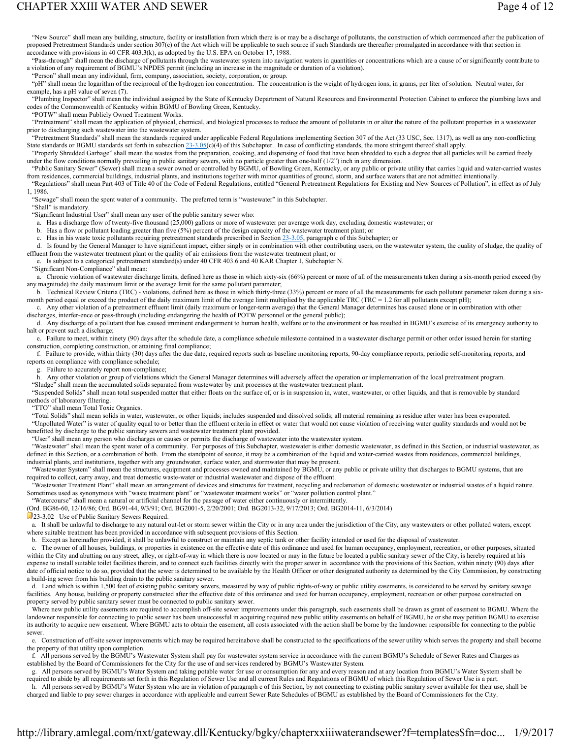# CHAPTER XXIII WATER AND SEWER **Page 4 of 12**

 "New Source" shall mean any building, structure, facility or installation from which there is or may be a discharge of pollutants, the construction of which commenced after the publication of proposed Pretreatment Standards under section 307(c) of the Act which will be applicable to such source if such Standards are thereafter promulgated in accordance with that section in accordance with provisions in 40 CFR 403.3(k), as adopted by the U.S. EPA on October 17, 1988.

 "Pass-through" shall mean the discharge of pollutants through the wastewater system into navigation waters in quantities or concentrations which are a cause of or significantly contribute to a violation of any requirement of BGMU's NPDES permit (including an increase in the magnitude or duration of a violation).

"Person" shall mean any individual, firm, company, association, society, corporation, or group.

 "pH" shall mean the logarithm of the reciprocal of the hydrogen ion concentration. The concentration is the weight of hydrogen ions, in grams, per liter of solution. Neutral water, for example, has a pH value of seven (7).

 "Plumbing Inspector" shall mean the individual assigned by the State of Kentucky Department of Natural Resources and Environmental Protection Cabinet to enforce the plumbing laws and codes of the Commonwealth of Kentucky within BGMU of Bowling Green, Kentucky.

"POTW" shall mean Publicly Owned Treatment Works.

 "Pretreatment" shall mean the application of physical, chemical, and biological processes to reduce the amount of pollutants in or alter the nature of the pollutant properties in a wastewater prior to discharging such wastewater into the wastewater system.

 "Pretreatment Standards" shall mean the standards required under applicable Federal Regulations implementing Section 307 of the Act (33 USC, Sec. 1317), as well as any non-conflicting State standards or BGMU standards set forth in subsection 23-3.05(c)(4) of this Subchapter. In case of conflicting standards, the more stringent thereof shall apply.

 "Properly Shredded Garbage" shall mean the wastes from the preparation, cooking, and dispensing of food that have been shredded to such a degree that all particles will be carried freely under the flow conditions normally prevailing in public sanitary sewers, with no particle greater than one-half (1/2") inch in any dimension.

 "Public Sanitary Sewer" (Sewer) shall mean a sewer owned or controlled by BGMU, of Bowling Green, Kentucky, or any public or private utility that carries liquid and water-carried wastes from residences, commercial buildings, industrial plants, and institutions together with minor quantities of ground, storm, and surface waters that are not admitted intentionally

 "Regulations" shall mean Part 403 of Title 40 of the Code of Federal Regulations, entitled "General Pretreatment Regulations for Existing and New Sources of Pollution", in effect as of July 1, 1986.

 "Sewage" shall mean the spent water of a community. The preferred term is "wastewater" in this Subchapter. "Shall" is mandatory.

"Significant Industrial User" shall mean any user of the public sanitary sewer who:

a. Has a discharge flow of twenty-five thousand (25,000) gallons or more of wastewater per average work day, excluding domestic wastewater; or

b. Has a flow or pollutant loading greater than five (5%) percent of the design capacity of the wastewater treatment plant; or

c. Has in his waste toxic pollutants requiring pretreatment standards prescribed in Section 23-3.05, paragraph c of this Subchapter; or

d. Is found by the General Manager to have significant impact, either singly or in combination with other contributing users, on the wastewater system, the quality of sludge, the quality of effluent from the wastewater treatment plant or the quality of air emissions from the wastewater treatment plant; or

e. Is subject to a categorical pretreatment standard(s) under 40 CFR 403.6 and 40 KAR Chapter 1, Subchapter N.

"Significant Non-Compliance" shall mean:

 a. Chronic violation of wastewater discharge limits, defined here as those in which sixty-six (66%) percent or more of all of the measurements taken during a six-month period exceed (by any magnitude) the daily maximum limit or the average limit for the same pollutant parameter;

 b. Technical Review Criteria (TRC) - violations, defined here as those in which thirty-three (33%) percent or more of all the measurements for each pollutant parameter taken during a sixmonth period equal or exceed the product of the daily maximum limit of the average limit multiplied by the applicable TRC (TRC = 1.2 for all pollutants except pH);

 c. Any other violation of a pretreatment effluent limit (daily maximum or longer-term average) that the General Manager determines has caused alone or in combination with other discharges, interfer-ence or pass-through (including endangering the health of POTW personnel or the general public);

 d. Any discharge of a pollutant that has caused imminent endangerment to human health, welfare or to the environment or has resulted in BGMU's exercise of its emergency authority to halt or prevent such a discharge;

 e. Failure to meet, within ninety (90) days after the schedule date, a compliance schedule milestone contained in a wastewater discharge permit or other order issued herein for starting construction, completing construction, or attaining final compliance;

 f. Failure to provide, within thirty (30) days after the due date, required reports such as baseline monitoring reports, 90-day compliance reports, periodic self-monitoring reports, and reports on compliance with compliance schedule;

g. Failure to accurately report non-compliance;

 h. Any other violation or group of violations which the General Manager determines will adversely affect the operation or implementation of the local pretreatment program. "Sludge" shall mean the accumulated solids separated from wastewater by unit processes at the wastewater treatment plant.

 "Suspended Solids" shall mean total suspended matter that either floats on the surface of, or is in suspension in, water, wastewater, or other liquids, and that is removable by standard methods of laboratory filtering.

"TTO" shall mean Total Toxic Organics.

 "Total Solids" shall mean solids in water, wastewater, or other liquids; includes suspended and dissolved solids; all material remaining as residue after water has been evaporated. "Unpolluted Water" is water of quality equal to or better than the effluent criteria in effect or water that would not cause violation of receiving water quality standards and would not be benefitted by discharge to the public sanitary sewers and wastewater treatment plant provided.

"User" shall mean any person who discharges or causes or permits the discharge of wastewater into the wastewater system.

"Wastewater" shall mean the spent water of a community. For purposes of this Subchapter, wastewater is either domestic wastewater, as defined in this Section, or industrial wastewater, as defined in this Section, or a combination of both. From the standpoint of source, it may be a combination of the liquid and water-carried wastes from residences, commercial buildings, industrial plants, and institutions, together with any groundwater, surface water, and stormwater that may be present.

 "Wastewater System" shall mean the structures, equipment and processes owned and maintained by BGMU, or any public or private utility that discharges to BGMU systems, that are required to collect, carry away, and treat domestic waste-water or industrial wastewater and dispose of the effluent.

 "Wastewater Treatment Plant" shall mean an arrangement of devices and structures for treatment, recycling and reclamation of domestic wastewater or industrial wastes of a liquid nature. Sometimes used as synonymous with "waste treatment plant" or "wastewater treatment works" or "water pollution control plant."

"Watercourse" shall mean a natural or artificial channel for the passage of water either continuously or intermittently.

(Ord. BG86-60, 12/16/86; Ord. BG91-44, 9/3/91; Ord. BG2001-5, 2/20/2001; Ord. BG2013-32, 9/17/2013; Ord. BG2014-11, 6/3/2014)

23-3.02 Use of Public Sanitary Sewers Required.

 a. It shall be unlawful to discharge to any natural out-let or storm sewer within the City or in any area under the jurisdiction of the City, any wastewaters or other polluted waters, except where suitable treatment has been provided in accordance with subsequent provisions of this Section.

b. Except as hereinafter provided, it shall be unlawful to construct or maintain any septic tank or other facility intended or used for the disposal of wastewater.

 c. The owner of all houses, buildings, or properties in existence on the effective date of this ordinance and used for human occupancy, employment, recreation, or other purposes, situated within the City and abutting on any street, alley, or right-of-way in which there is now located or may in the future be located a public sanitary sewer of the City, is hereby required at his expense to install suitable toilet facilities therein, and to connect such facilities directly with the proper sewer in accordance with the provisions of this Section, within ninety (90) days after date of official notice to do so, provided that the sewer is determined to be available by the Health Officer or other designated authority as determined by the City Commission, by constructing a build-ing sewer from his building drain to the public sanitary sewer.

 d. Land which is within 1,500 feet of existing public sanitary sewers, measured by way of public rights-of-way or public utility easements, is considered to be served by sanitary sewage facilities. Any house, building or property constructed after the effective date of this ordinance and used for human occupancy, employment, recreation or other purpose constructed on property served by public sanitary sewer must be connected to public sanitary sewer.

 Where new public utility easements are required to accomplish off-site sewer improvements under this paragraph, such easements shall be drawn as grant of easement to BGMU. Where the landowner responsible for connecting to public sewer has been unsuccessful in acquiring required new public utility easements on behalf of BGMU, he or she may petition BGMU to exercise its authority to acquire new easement. Where BGMU acts to obtain the easement, all costs associated with the action shall be borne by the landowner responsible for connecting to the public sewer

 e. Construction of off-site sewer improvements which may be required hereinabove shall be constructed to the specifications of the sewer utility which serves the property and shall become the property of that utility upon completion.

All persons served by the BGMU's Wastewater System shall pay for wastewater system service in accordance with the current BGMU's Schedule of Sewer Rates and Charges as established by the Board of Commissioners for the City for the use of and services rendered by BGMU's Wastewater System.

 g. All persons served by BGMU's Water System and taking potable water for use or consumption for any and every reason and at any location from BGMU's Water System shall be required to abide by all requirements set forth in this Regulation of Sewer Use and all current Rules and Regulations of BGMU of which this Regulation of Sewer Use is a part.

 h. All persons served by BGMU's Water System who are in violation of paragraph c of this Section, by not connecting to existing public sanitary sewer available for their use, shall be charged and liable to pay sewer charges in accordance with applicable and current Sewer Rate Schedules of BGMU as established by the Board of Commissioners for the City.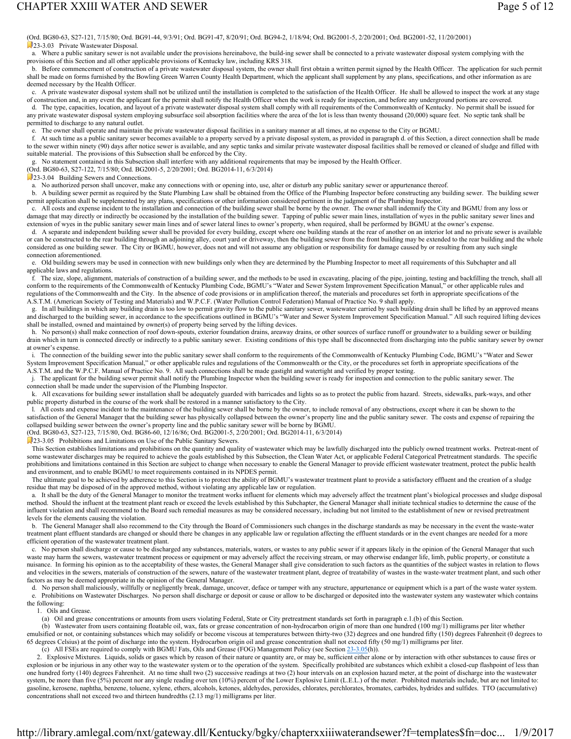(Ord. BG80-63, S27-121, 7/15/80; Ord. BG91-44, 9/3/91; Ord. BG91-47, 8/20/91; Ord. BG94-2, 1/18/94; Ord. BG2001-5, 2/20/2001; Ord. BG2001-52, 11/20/2001) 23-3.03 Private Wastewater Disposal.

 a. Where a public sanitary sewer is not available under the provisions hereinabove, the build-ing sewer shall be connected to a private wastewater disposal system complying with the provisions of this Section and all other applicable provisions of Kentucky law, including KRS 318.

 b. Before commencement of construction of a private wastewater disposal system, the owner shall first obtain a written permit signed by the Health Officer. The application for such permit shall be made on forms furnished by the Bowling Green Warren County Health Department, which the applicant shall supplement by any plans, specifications, and other information as are deemed necessary by the Health Officer.

 c. A private wastewater disposal system shall not be utilized until the installation is completed to the satisfaction of the Health Officer. He shall be allowed to inspect the work at any stage of construction and, in any event the applicant for the permit shall notify the Health Officer when the work is ready for inspection, and before any underground portions are covered.

 d. The type, capacities, location, and layout of a private wastewater disposal system shall comply with all requirements of the Commonwealth of Kentucky. No permit shall be issued for any private wastewater disposal system employing subsurface soil absorption facilities where the area of the lot is less than twenty thousand (20,000) square feet. No septic tank shall be permitted to discharge to any natural outlet.

e. The owner shall operate and maintain the private wastewater disposal facilities in a sanitary manner at all times, at no expense to the City or BGMU.

 f. At such time as a public sanitary sewer becomes available to a property served by a private disposal system, as provided in paragraph d. of this Section, a direct connection shall be made to the sewer within ninety (90) days after notice sewer is available, and any septic tanks and similar private wastewater disposal facilities shall be removed or cleaned of sludge and filled with suitable material. The provisions of this Subsection shall be enforced by the City.

g. No statement contained in this Subsection shall interfere with any additional requirements that may be imposed by the Health Officer.

#### (Ord. BG80-63, S27-122, 7/15/80; Ord. BG2001-5, 2/20/2001; Ord. BG2014-11, 6/3/2014)

23-3.04 Building Sewers and Connections.

a. No authorized person shall uncover, make any connections with or opening into, use, alter or disturb any public sanitary sewer or appurtenance thereof.

 b. A building sewer permit as required by the State Plumbing Law shall be obtained from the Office of the Plumbing Inspector before constructing any building sewer. The building sewer permit application shall be supplemented by any plans, specifications or other information considered pertinent in the judgment of the Plumbing Inspector.

 c. All costs and expense incident to the installation and connection of the building sewer shall be borne by the owner. The owner shall indemnify the City and BGMU from any loss or damage that may directly or indirectly be occasioned by the installation of the building sewer. Tapping of public sewer main lines, installation of wyes in the public sanitary sewer lines and extension of wyes in the public sanitary sewer main lines and of sewer lateral lines to owner's property, when required, shall be performed by BGMU at the owner's expense.

 d. A separate and independent building sewer shall be provided for every building, except where one building stands at the rear of another on an interior lot and no private sewer is available or can be constructed to the rear building through an adjoining alley, court yard or driveway, then the building sewer from the front building may be extended to the rear building and the whole considered as one building sewer. The City or BGMU, however, does not and will not assume any obligation or responsibility for damage caused by or resulting from any such single connection aforementioned.

 e. Old building sewers may be used in connection with new buildings only when they are determined by the Plumbing Inspector to meet all requirements of this Subchapter and all applicable laws and regulations.

 f. The size, slope, alignment, materials of construction of a building sewer, and the methods to be used in excavating, placing of the pipe, jointing, testing and backfilling the trench, shall all conform to the requirements of the Commonwealth of Kentucky Plumbing Code, BGMU's "Water and Sewer System Improvement Specification Manual," or other applicable rules and regulations of the Commonwealth and the City. In the absence of code provisions or in amplification thereof, the materials and procedures set forth in appropriate specifications of the A.S.T.M. (American Society of Testing and Materials) and W.P.C.F. (Water Pollution Control Federation) Manual of Practice No. 9 shall apply.

 g. In all buildings in which any building drain is too low to permit gravity flow to the public sanitary sewer, wastewater carried by such building drain shall be lifted by an approved means and discharged to the building sewer, in accordance to the specifications outlined in BGMU's "Water and Sewer System Improvement Specification Manual." All such required lifting devices shall be installed, owned and maintained by owner(s) of property being served by the lifting devices.

h. No person(s) shall make connection of roof down-spouts, exterior foundation drains, areaway drains, or other sources of surface runoff or groundwater to a building sewer or building drain which in turn is connected directly or indirectly to a public sanitary sewer. Existing conditions of this type shall be disconnected from discharging into the public sanitary sewer by owner at owner's expense.

 i. The connection of the building sewer into the public sanitary sewer shall conform to the requirements of the Commonwealth of Kentucky Plumbing Code, BGMU's "Water and Sewer System Improvement Specification Manual," or other applicable rules and regulations of the Commonwealth or the City, or the procedures set forth in appropriate specifications of the A.S.T.M. and the W.P.C.F. Manual of Practice No. 9. All such connections shall be made gastight and watertight and verified by proper testing.

 j. The applicant for the building sewer permit shall notify the Plumbing Inspector when the building sewer is ready for inspection and connection to the public sanitary sewer. The connection shall be made under the supervision of the Plumbing Inspector.

 k. All excavations for building sewer installation shall be adequately guarded with barricades and lights so as to protect the public from hazard. Streets, sidewalks, park-ways, and other public property disturbed in the course of the work shall be restored in a manner satisfactory to the City.

 l. All costs and expense incident to the maintenance of the building sewer shall be borne by the owner, to include removal of any obstructions, except where it can be shown to the satisfaction of the General Manager that the building sewer has physically collapsed between the owner's property line and the public sanitary sewer. The costs and expense of repairing the collapsed building sewer between the owner's property line and the public sanitary sewer will be borne by BGMU.

(Ord. BG80-63, S27-123, 7/15/80, Ord. BG86-60, 12/16/86; Ord. BG2001-5, 2/20/2001; Ord. BG2014-11, 6/3/2014)

23-3.05 Prohibitions and Limitations on Use of the Public Sanitary Sewers.

This Section establishes limitations and prohibitions on the quantity and quality of wastewater which may be lawfully discharged into the publicly owned treatment works. Pretreat-ment of some wastewater discharges may be required to achieve the goals established by this Subsection, the Clean Water Act, or applicable Federal Categorical Pretreatment standards. The specific prohibitions and limitations contained in this Section are subject to change when necessary to enable the General Manager to provide efficient wastewater treatment, protect the public health and environment, and to enable BGMU to meet requirements contained in its NPDES permit.

The ultimate goal to be achieved by adherence to this Section is to protect the ability of BGMU's wastewater treatment plant to provide a satisfactory effluent and the creation of a sludge residue that may be disposed of in the approved method, without violating any applicable law or regulation.

 a. It shall be the duty of the General Manager to monitor the treatment works influent for elements which may adversely affect the treatment plant's biological processes and sludge disposal method. Should the influent at the treatment plant reach or exceed the levels established by this Subchapter, the General Manager shall initiate technical studies to determine the cause of the influent violation and shall recommend to the Board such remedial measures as may be considered necessary, including but not limited to the establishment of new or revised pretreatment levels for the elements causing the violation.

 b. The General Manager shall also recommend to the City through the Board of Commissioners such changes in the discharge standards as may be necessary in the event the waste-water treatment plant effluent standards are changed or should there be changes in any applicable law or regulation affecting the effluent standards or in the event changes are needed for a more efficient operation of the wastewater treatment plant.

 c. No person shall discharge or cause to be discharged any substances, materials, waters, or wastes to any public sewer if it appears likely in the opinion of the General Manager that such waste may harm the sewers, wastewater treatment process or equipment or may adversely affect the receiving stream, or may otherwise endanger life, limb, public property, or constitute a nuisance. In forming his opinion as to the acceptability of these wastes, the General Manager shall give consideration to such factors as the quantities of the subject wastes in relation to flows and velocities in the sewers, materials of construction of the sewers, nature of the wastewater treatment plant, degree of treatability of wastes in the waste-water treatment plant, and such other factors as may be deemed appropriate in the opinion of the General Manager.

d. No person shall maliciously, willfully or negligently break, damage, uncover, deface or tamper with any structure, appurtenance or equipment which is a part of the waste water system. e. Prohibitions on Wastewater Discharges. No person shall discharge or deposit or cause or allow to be discharged or deposited into the wastewater system any wastewater which contains

the following:

1. Oils and Grease.

(a) Oil and grease concentrations or amounts from users violating Federal, State or City pretreatment standards set forth in paragraph e.1.(b) of this Section.

 (b) Wastewater from users containing floatable oil, wax, fats or grease concentration of non-hydrocarbon origin of more than one hundred (100 mg/1) milligrams per liter whether emulsified or not, or containing substances which may solidify or become viscous at temperatures between thirty-two (32) degrees and one hundred fifty (150) degrees Fahrenheit (0 degrees to 65 degrees Celsius) at the point of discharge into the system. Hydrocarbon origin oil and grease concentration shall not exceed fifty (50 mg/1) milligrams per liter.

(c) All FSEs are required to comply with BGMU Fats, Oils and Grease (FOG) Management Policy (see Section 23-3.05(h)).

 2. Explosive Mixtures. Liquids, solids or gases which by reason of their nature or quantity are, or may be, sufficient either alone or by interaction with other substances to cause fires or explosion or be injurious in any other way to the wastewater system or to the operation of the system. Specifically prohibited are substances which exhibit a closed-cup flashpoint of less than one hundred forty (140) degrees Fahrenheit. At no time shall two (2) successive readings at two (2) hour intervals on an explosion hazard meter, at the point of discharge into the wastewater system, be more than five (5%) percent nor any single reading over ten (10%) percent of the Lower Explosive Limit (L.E.L.) of the meter. Prohibited materials include, but are not limited to: gasoline, kerosene, naphtha, benzene, toluene, xylene, ethers, alcohols, ketones, aldehydes, peroxides, chlorates, perchlorates, bromates, carbides, hydrides and sulfides. TTO (accumulative) concentrations shall not exceed two and thirteen hundredths (2.13 mg/1) milligrams per liter.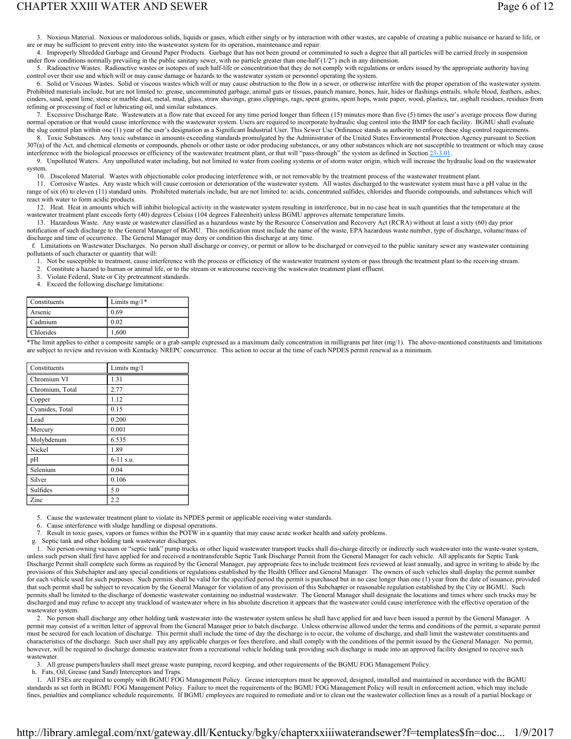## CHAPTER XXIII WATER AND SEWER **Page 6 of 12**

 3. Noxious Material. Noxious or malodorous solids, liquids or gases, which either singly or by interaction with other wastes, are capable of creating a public nuisance or hazard to life, or are or may be sufficient to prevent entry into the wastewater system for its operation, maintenance and repair.

 4. Improperly Shredded Garbage and Ground Paper Products. Garbage that has not been ground or comminuted to such a degree that all particles will be carried freely in suspension under flow conditions normally prevailing in the public sanitary sewer, with no particle greater than one-half (1/2") inch in any dimension.

 5. Radioactive Wastes. Radioactive wastes or isotopes of such half-life or concentration that they do not comply with regulations or orders issued by the appropriate authority having control over their use and which will or may cause damage or hazards to the wastewater system or personnel operating the system.

 6. Solid or Viscous Wastes. Solid or viscous wastes which will or may cause obstruction to the flow in a sewer, or otherwise interfere with the proper operation of the wastewater system. Prohibited materials include, but are not limited to: grease, uncomminuted garbage, animal guts or tissues, paunch manure, bones, hair, hides or flashings entrails, whole blood, feathers, ashes, cinders, sand, spent lime, stone or marble dust, metal, mud, glass, straw shavings, grass clippings, rags, spent grains, spent hops, waste paper, wood, plastics, tar, asphalt residues, residues from refining or processing of fuel or lubricating oil, and similar substances.

 7. Excessive Discharge Rate. Wastewaters at a flow rate that exceed for any time period longer than fifteen (15) minutes more than five (5) times the user's average process flow during normal operation or that would cause interference with the wastewater system. Users are required to incorporate hydraulic slug control into the BMP for each facility. BGMU shall evaluate the slug control plan within one (1) year of the user's designation as a Significant Industrial User. This Sewer Use Ordinance stands as authority to enforce these slug control requirements.

 8. Toxic Substances. Any toxic substance in amounts exceeding standards promulgated by the Administrator of the United States Environmental Protection Agency pursuant to Section 307(a) of the Act, and chemical elements or compounds, phenols or other taste or odor producing substances, or any other substances which are not susceptible to treatment or which may cause interference with the biological processes or efficiency of the wastewater treatment plant, or that will "pass-through" the system as defined in Section 23-3.01.

 9. Unpolluted Waters. Any unpolluted water including, but not limited to water from cooling systems or of storm water origin, which will increase the hydraulic load on the wastewater system.

10. Discolored Material. Wastes with objectionable color producing interference with, or not removable by the treatment process of the wastewater treatment plant.

 11. Corrosive Wastes. Any waste which will cause corrosion or deterioration of the wastewater system. All wastes discharged to the wastewater system must have a pH value in the range of six (6) to eleven (11) standard units. Prohibited materials include, but are not limited to: acids, concentrated sulfides, chlorides and fluoride compounds, and substances which will react with water to form acidic products.

 12. Heat. Heat in amounts which will inhibit biological activity in the wastewater system resulting in interference, but in no case heat in such quantities that the temperature at the wastewater treatment plant exceeds forty (40) degrees Celsius (104 degrees Fahrenheit) unless BGMU approves alternate temperature limits.

 13. Hazardous Waste. Any waste or wastewater classified as a hazardous waste by the Resource Conservation and Recovery Act (RCRA) without at least a sixty (60) day prior notification of such discharge to the General Manager of BGMU. This notification must include the name of the waste, EPA hazardous waste number, type of discharge, volume/mass of number, type of discharge, volume/mass of discharge and time of occurrence. The General Manager may deny or condition this discharge at any time.

 f. Limitations on Wastewater Discharges. No person shall discharge or convey, or permit or allow to be discharged or conveyed to the public sanitary sewer any wastewater containing pollutants of such character or quantity that will:

1. Not be susceptible to treatment, cause interference with the process or efficiency of the wastewater treatment system or pass through the treatment plant to the receiving stream.

2. Constitute a hazard to human or animal life, or to the stream or watercourse receiving the wastewater treatment plant effluent.

3. Violate Federal, State or City pretreatment standards.

4. Exceed the following discharge limitations:

| Constituents | Limits $mg/1*$ |
|--------------|----------------|
| Arsenic      | 0.69           |
| Cadmium      | 0.02           |
| Chlorides    | 1,600          |

\*The limit applies to either a composite sample or a grab sample expressed as a maximum daily concentration in milligrams per liter (mg/1). The above-mentioned constituents and limitations are subject to review and revision with Kentucky NREPC concurrence. This action to occur at the time of each NPDES permit renewal as a minimum.

| Constituents    | Limits $mg/1$ |
|-----------------|---------------|
| Chromium VI     | 1.31          |
| Chromium, Total | 2.77          |
| Copper          | 1.12          |
| Cyanides, Total | 0.15          |
| Lead            | 0.200         |
| Mercury         | 0.001         |
| Molybdenum      | 6.535         |
| Nickel          | 1.89          |
| pН              | $6-11$ s.u.   |
| Selenium        | 0.04          |
| Silver          | 0.106         |
| Sulfides        | 5.0           |
| Zinc            | 2.2           |

5. Cause the wastewater treatment plant to violate its NPDES permit or applicable receiving water standards.

6. Cause interference with sludge handling or disposal operations.

7. Result in toxic gases, vapors or fumes within the POTW in a quantity that may cause acute worker health and safety problems.

g. Septic tank and other holding tank wastewater discharges.

 1. No person owning vacuum or "septic tank" pump trucks or other liquid wastewater transport trucks shall dis-charge directly or indirectly such wastewater into the waste-water system, unless such person shall first have applied for and received a nontransferable Septic Tank Discharge Permit from the General Manager for each vehicle. All applicants for Septic Tank Discharge Permit shall complete such forms as required by the General Manager, pay appropriate fees to include treatment fees reviewed at least annually, and agree in writing to abide by the provisions of this Subchapter and any special conditions or regulations established by the Health Officer and General Manager. The owners of such vehicles shall display the permit number for each vehicle used for such purposes. Such permits shall be valid for the specified period the permit is purchased but in no case longer than one (1) year from the date of issuance, provided that such permit shall be subject to revocation by the General Manager for violation of any provision of this Subchapter or reasonable regulation established by the City or BGMU. Such permits shall be limited to the discharge of domestic wastewater containing no industrial wastewater. The General Manager shall designate the locations and times where such trucks may be discharged and may refuse to accept any truckload of wastewater where in his absolute discretion it appears that the wastewater could cause interference with the effective operation of the wastewater system.

 2. No person shall discharge any other holding tank wastewater into the wastewater system unless he shall have applied for and have been issued a permit by the General Manager. A permit may consist of a written letter of approval from the General Manager prior to batch discharge. Unless otherwise allowed under the terms and conditions of the permit, a separate permit must be secured for each location of discharge. This permit shall include the time of day the discharge is to occur, the volume of discharge, and shall limit the wastewater constituents and characteristics of the discharge. Such user shall pay any applicable charges or fees therefore, and shall comply with the conditions of the permit issued by the General Manager. No permit, however, will be required to discharge domestic wastewater from a recreational vehicle holding tank providing such discharge is made into an approved facility designed to receive such wastewater.

3. All grease pumpers/haulers shall meet grease waste pumping, record keeping, and other requirements of the BGMU FOG Management Policy.

h. Fats, Oil, Grease (and Sand) Interceptors and Traps.

 1. All FSEs are required to comply with BGMU FOG Management Policy. Grease interceptors must be approved, designed, installed and maintained in accordance with the BGMU standards as set forth in BGMU FOG Management Policy. Failure to meet the requirements of the BGMU FOG Management Policy will result in enforcement action, which may include fines, penalties and compliance schedule requirements. If BGMU employees are required to remediate and/or to clean out the wastewater collection lines as a result of a partial blockage or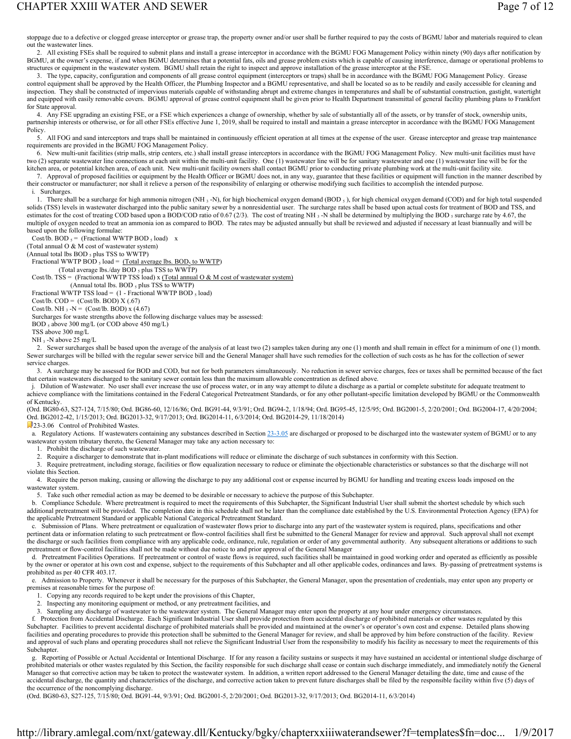stoppage due to a defective or clogged grease interceptor or grease trap, the property owner and/or user shall be further required to pay the costs of BGMU labor and materials required to clean out the wastewater lines.

 2. All existing FSEs shall be required to submit plans and install a grease interceptor in accordance with the BGMU FOG Management Policy within ninety (90) days after notification by BGMU, at the owner's expense, if and when BGMU determines that a potential fats, oils and grease problem exists which is capable of causing interference, damage or operational problems to structures or equipment in the wastewater system. BGMU shall retain the right to inspect and approve installation of the grease interceptor at the FSE.

 3. The type, capacity, configuration and components of all grease control equipment (interceptors or traps) shall be in accordance with the BGMU FOG Management Policy. Grease control equipment shall be approved by the Health Officer, the Plumbing Inspector and a BGMU representative, and shall be located so as to be readily and easily accessible for cleaning and inspection. They shall be constructed of impervious materials capable of withstanding abrupt and extreme changes in temperatures and shall be of substantial construction, gastight, watertight and equipped with easily removable covers. BGMU approval of grease control equipment shall be given prior to Health Department transmittal of general facility plumbing plans to Frankfort for State approval.

 4. Any FSE upgrading an existing FSE, or a FSE which experiences a change of ownership, whether by sale of substantially all of the assets, or by transfer of stock, ownership units, partnership interests or otherwise, or for all other FSEs effective June 1, 2019, shall be required to install and maintain a grease interceptor in accordance with the BGMU FOG Management **Policy** 

 5. All FOG and sand interceptors and traps shall be maintained in continuously efficient operation at all times at the expense of the user. Grease interceptor and grease trap maintenance requirements are provided in the BGMU FOG Management Policy.

 6. New multi-unit facilities (strip malls, strip centers, etc.) shall install grease interceptors in accordance with the BGMU FOG Management Policy. New multi-unit facilities must have two (2) separate wastewater line connections at each unit within the multi-unit facility. One (1) wastewater line will be for sanitary wastewater and one (1) wastewater line will be for the kitchen area, or potential kitchen area, of each unit. New multi-unit facility owners shall contact BGMU prior to conducting private plumbing work at the multi-unit facility site.

 7. Approval of proposed facilities or equipment by the Health Officer or BGMU does not, in any way, guarantee that these facilities or equipment will function in the manner described by their constructor or manufacturer; nor shall it relieve a person of the responsibility of enlarging or otherwise modifying such facilities to accomplish the intended purpose. i. Surcharges

1. There shall be a surcharge for high ammonia nitrogen (NH  $_3$ -N), for high biochemical oxygen demand (BOD  $_5$ ), for high chemical oxygen demand (COD) and for high total suspended solids (TSS) levels in wastewater discharged into the public sanitary sewer by a nonresidential user. The surcharge rates shall be based upon actual costs for treatment of BOD and TSS, and estimates for the cost of treating COD based upon a BOD/COD ratio of 0.67 (2/3). The cost of treating NH 3-N shall be determined by multiplying the BOD 5 surcharge rate by 4.67, the multiple of oxygen needed to treat an ammonia ion as compared to BOD. The rates may be adjusted annually but shall be reviewed and adjusted if necessary at least biannually and will be based upon the following formulae:

Cost/lb. BOD  $_5$  = (Fractional WWTP BOD  $_5$  load) x

(Total annual O & M cost of wastewater system)

(Annual total lbs  $BOD$ , plus TSS to WWTP)

Fractional WWTP BOD  $_5$  load = (Total average lbs. BOD $_5$  to WWTP) (Total average lbs./day BOD 5 plus TSS to WWTP)

Cost/lb. TSS = (Fractional WWTP TSS load) x (Total annual O & M cost of wastewater system)

(Annual total lbs. BOD 5 plus TSS to WWTP)

Fractional WWTP TSS load =  $(1 - Fractional WWTP BOD \, 5 \, 1)$ 

Cost/lb.  $COD = (Cost/lb. BOD) X (.67)$ 

Cost/lb. NH  $_3$  -N = (Cost/lb. BOD) x (4.67)

Surcharges for waste strengths above the following discharge values may be assessed:

BOD<sub>5</sub> above 300 mg/L (or COD above 450 mg/L)

TSS above 300 mg/L

NH<sub>3</sub> -N above 25 mg/L

 2. Sewer surcharges shall be based upon the average of the analysis of at least two (2) samples taken during any one (1) month and shall remain in effect for a minimum of one (1) month. Sewer surcharges will be billed with the regular sewer service bill and the General Manager shall have such remedies for the collection of such costs as he has for the collection of sewer service charges.

 3. A surcharge may be assessed for BOD and COD, but not for both parameters simultaneously. No reduction in sewer service charges, fees or taxes shall be permitted because of the fact that certain wastewaters discharged to the sanitary sewer contain less than the maximum allowable concentration as defined above.

 j. Dilution of Wastewater. No user shall ever increase the use of process water, or in any way attempt to dilute a discharge as a partial or complete substitute for adequate treatment to achieve compliance with the limitations contained in the Federal Categorical Pretreatment Standards, or for any other pollutant-specific limitation developed by BGMU or the Commonwealth of Kentucky.

(Ord. BG80-63, S27-124, 7/15/80; Ord. BG86-60, 12/16/86; Ord. BG91-44, 9/3/91; Ord. BG94-2, 1/18/94; Ord. BG95-45, 12/5/95; Ord. BG2001-5, 2/20/2001; Ord. BG2004-17, 4/20/2004; Ord. BG2012-42, 1/15/2013; Ord. BG2013-32, 9/17/2013; Ord. BG2014-11, 6/3/2014; Ord. BG2014-29, 11/18/2014)

23-3.06 Control of Prohibited Wastes.

a. Regulatory Actions. If wastewaters containing any substances described in Section  $23-3.05$  are discharged or proposed to be discharged into the wastewater system of BGMU or to any wastewater system tributary thereto, the General Manager may take any action necessary to:

1. Prohibit the discharge of such wastewater.

2. Require a discharger to demonstrate that in-plant modifications will reduce or eliminate the discharge of such substances in conformity with this Section.

 3. Require pretreatment, including storage, facilities or flow equalization necessary to reduce or eliminate the objectionable characteristics or substances so that the discharge will not violate this Section.

 4. Require the person making, causing or allowing the discharge to pay any additional cost or expense incurred by BGMU for handling and treating excess loads imposed on the wastewater system.

5. Take such other remedial action as may be deemed to be desirable or necessary to achieve the purpose of this Subchapter.

 b. Compliance Schedule. Where pretreatment is required to meet the requirements of this Subchapter, the Significant Industrial User shall submit the shortest schedule by which such additional pretreatment will be provided. The completion date in this schedule shall not be later than the compliance date established by the U.S. Environmental Protection Agency (EPA) for the applicable Pretreatment Standard or applicable National Categorical Pretreatment Standard.

Submission of Plans. Where pretreatment or equalization of wastewater flows prior to discharge into any part of the wastewater system is required, plans, specifications and other pertinent data or information relating to such pretreatment or flow-control facilities shall first be submitted to the General Manager for review and approval. Such approval shall not exempt the discharge or such facilities from compliance with any applicable code, ordinance, rule, regulation or order of any governmental authority. Any subsequent alterations or additions to such pretreatment or flow-control facilities shall not be made without due notice to and prior approval of the General Manager

 d. Pretreatment Facilities Operations. If pretreatment or control of waste flows is required, such facilities shall be maintained in good working order and operated as efficiently as possible by the owner or operator at his own cost and expense, subject to the requirements of this Subchapter and all other applicable codes, ordinances and laws. By-passing of pretreatment systems is prohibited as per 40 CFR 403.17.

 e. Admission to Property. Whenever it shall be necessary for the purposes of this Subchapter, the General Manager, upon the presentation of credentials, may enter upon any property or premises at reasonable times for the purpose of:

1. Copying any records required to be kept under the provisions of this Chapter,

2. Inspecting any monitoring equipment or method, or any pretreatment facilities, and

3. Sampling any discharge of wastewater to the wastewater system. The General Manager may enter upon the property at any hour under emergency circumstances.

 f. Protection from Accidental Discharge. Each Significant Industrial User shall provide protection from accidental discharge of prohibited materials or other wastes regulated by this Subchapter. Facilities to prevent accidental discharge of prohibited materials shall be provided and maintained at the owner's or operator's own cost and expense. Detailed plans showing facilities and operating procedures to provide this protection shall be submitted to the General Manager for review, and shall be approved by him before construction of the facility. Review and approval of such plans and operating procedures shall not relieve the Significant Industrial User from the responsibility to modify his facility as necessary to meet the requirements of this Subchapter.

 g. Reporting of Possible or Actual Accidental or Intentional Discharge. If for any reason a facility sustains or suspects it may have sustained an accidental or intentional sludge discharge of prohibited materials or other wastes regulated by this Section, the facility responsible for such discharge shall cease or contain such discharge immediately, and immediately notify the General Manager so that corrective action may be taken to protect the wastewater system. In addition, a written report addressed to the General Manager detailing the date, time and cause of the accidental discharge, the quantity and characteristics of the discharge, and corrective action taken to prevent future discharges shall be filed by the responsible facility within five (5) days of the occurrence of the noncomplying discharge.

(Ord. BG80-63, S27-125, 7/15/80; Ord. BG91-44, 9/3/91; Ord. BG2001-5, 2/20/2001; Ord. BG2013-32, 9/17/2013; Ord. BG2014-11, 6/3/2014)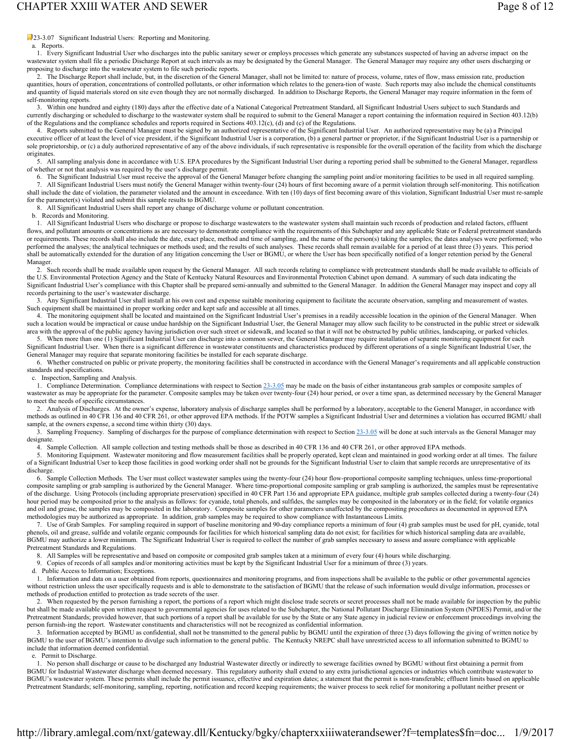23-3.07 Significant Industrial Users: Reporting and Monitoring.

a. Reports.

 1. Every Significant Industrial User who discharges into the public sanitary sewer or employs processes which generate any substances suspected of having an adverse impact on the wastewater system shall file a periodic Discharge Report at such intervals as may be designated by the General Manager. The General Manager may require any other users discharging or proposing to discharge into the wastewater system to file such periodic reports.

2. The Discharge Report shall include, but, in the discretion of the General Manager, shall not be limited to: nature of process, volume, rates of flow, mass emission rate, production quantities, hours of operation, concentrations of controlled pollutants, or other information which relates to the genera-tion of waste. Such reports may also include the chemical constituents and quantity of liquid materials stored on site even though they are not normally discharged. In addition to Discharge Reports, the General Manager may require information in the form of self-monitoring reports.

 3. Within one hundred and eighty (180) days after the effective date of a National Categorical Pretreatment Standard, all Significant Industrial Users subject to such Standards and currently discharging or scheduled to discharge to the wastewater system shall be required to submit to the General Manager a report containing the information required in Section 403.12(b) of the Regulations and the compliance schedules and reports required in Sections 403.12(c), (d) and (c) of the Regulations.

 4. Reports submitted to the General Manager must be signed by an authorized representative of the Significant Industrial User. An authorized representative may be (a) a Principal executive officer of at least the level of vice president, if the Significant Industrial User is a corporation, (b) a general partner or proprietor, if the Significant Industrial User is a partnership or sole proprietorship, or (c) a duly authorized representative of any of the above individuals, if such representative is responsible for the overall operation of the facility from which the discharge originates.

 5. All sampling analysis done in accordance with U.S. EPA procedures by the Significant Industrial User during a reporting period shall be submitted to the General Manager, regardless of whether or not that analysis was required by the user's discharge permit.

6. The Significant Industrial User must receive the approval of the General Manager before changing the sampling point and/or monitoring facilities to be used in all required sampling.<br>7. All Significant Industrial Users m 7. All Significant Industrial Users must notify the General Manager within twenty-four (24) hours of first becoming aware of a permit violation through self-monitoring. This notification shall include the date of violation, the parameter violated and the amount in exceedance. With ten (10) days of first becoming aware of this violation, Significant Industrial User must re-sample for the parameter(s) violated and submit this sample results to BGMU.

8. All Significant Industrial Users shall report any change of discharge volume or pollutant concentration.

### b. Records and Monitoring.

 1. All Significant Industrial Users who discharge or propose to discharge wastewaters to the wastewater system shall maintain such records of production and related factors, effluent flows, and pollutant amounts or concentrations as are necessary to demonstrate compliance with the requirements of this Subchapter and any applicable State or Federal pretreatment standards or requirements. These records shall also include the date, exact place, method and time of sampling, and the name of the person(s) taking the samples; the dates analyses were performed; who performed the analyses; the analytical techniques or methods used; and the results of such analyses. These records shall remain available for a period of at least three (3) years. This period shall be automatically extended for the duration of any litigation concerning the User or BGMU, or where the User has been specifically notified of a longer retention period by the General Manager.

 2. Such records shall be made available upon request by the General Manager. All such records relating to compliance with pretreatment standards shall be made available to officials of the U.S. Environmental Protection Agency and the State of Kentucky Natural Resources and Environmental Protection Cabinet upon demand. A summary of such data indicating the Significant Industrial User's compliance with this Chapter shall be prepared semi-annually and submitted to the General Manager. In addition the General Manager may inspect and copy all records pertaining to the user's wastewater discharge.

 3. Any Significant Industrial User shall install at his own cost and expense suitable monitoring equipment to facilitate the accurate observation, sampling and measurement of wastes. Such equipment shall be maintained in proper working order and kept safe and accessible at all times.

 4. The monitoring equipment shall be located and maintained on the Significant Industrial User's premises in a readily accessible location in the opinion of the General Manager. When such a location would be impractical or cause undue hardship on the Significant Industrial User, the General Manager may allow such facility to be constructed in the public street or sidewalk area with the approval of the public agency having jurisdiction over such street or sidewalk, and located so that it will not be obstructed by public utilities, landscaping, or parked vehicles.

When more than one (1) Significant Industrial User can discharge into a common sewer, the General Manager may require installation of separate monitoring equipment for each Significant Industrial User. When there is a significant difference in wastewater constituents and characteristics produced by different operations of a single Significant Industrial User, the General Manager may require that separate monitoring facilities be installed for each separate discharge.

 6. Whether constructed on public or private property, the monitoring facilities shall be constructed in accordance with the General Manager's requirements and all applicable construction standards and specifications.

c. Inspection, Sampling and Analysis.

1. Compliance Determination. Compliance determinations with respect to Section 23-3.05 may be made on the basis of either instantaneous grab samples or composite samples of wastewater as may be appropriate for the parameter. Composite samples may be taken over twenty-four (24) hour period, or over a time span, as determined necessary by the General Manager to meet the needs of specific circumstances.

Analysis of Discharges. At the owner's expense, laboratory analysis of discharge samples shall be performed by a laboratory, acceptable to the General Manager, in accordance with methods as outlined in 40 CFR 136 and 40 CFR 261, or other approved EPA methods. If the POTW samples a Significant Industrial User and determines a violation has occurred BGMU shall sample, at the owners expense, a second time within thirty (30) days.

 $\hat{3}$ . Sampling Frequency. Sampling of discharges for the purpose of compliance determination with respect to Section  $23-3.05$  will be done at such intervals as the General Manager may designate.

4. Sample Collection. All sample collection and testing methods shall be those as described in 40 CFR 136 and 40 CFR 261, or other approved EPA methods.<br>5. Monitoring Equipment. Wastewater monitoring and flow measurement f

 5. Monitoring Equipment. Wastewater monitoring and flow measurement facilities shall be properly operated, kept clean and maintained in good working order at all times. The failure of a Significant Industrial User to keep those facilities in good working order shall not be grounds for the Significant Industrial User to claim that sample records are unrepresentative of its discharge.

 6. Sample Collection Methods. The User must collect wastewater samples using the twenty-four (24) hour flow-proportional composite sampling techniques, unless time-proportional composite sampling or grab sampling is authorized by the General Manager. Where time-proportional composite sampling or grab sampling is authorized, the samples must be representative of the discharge. Using Protocols (including appropriate preservation) specified in 40 CFR Part 136 and appropriate EPA guidance, multiple grab samples collected during a twenty-four (24) hour period may be composited prior to the analysis as follows: for cyanide, total phenols, and sulfides, the samples may be composited in the laboratory or in the field; for volatile organics and oil and grease, the samples may be composited in the laboratory. Composite samples for other parameters unaffected by the compositing procedures as documented in approved EPA methodologies may be authorized as appropriate. In addition, grab samples may be required to show compliance with Instantaneous Limits.

 7. Use of Grab Samples. For sampling required in support of baseline monitoring and 90-day compliance reports a minimum of four (4) grab samples must be used for pH, cyanide, total phenols, oil and grease, sulfide and volatile organic compounds for facilities for which historical sampling data do not exist; for facilities for which historical sampling data are available, BGMU may authorize a lower minimum. The Significant Industrial User is required to collect the number of grab samples necessary to assess and assure compliance with applicable Pretreatment Standards and Regulations.

8. All Samples will be representative and based on composite or composited grab samples taken at a minimum of every four (4) hours while discharging.

9. Copies of records of all samples and/or monitoring activities must be kept by the Significant Industrial User for a minimum of three (3) years.

d. Public Access to Information; Exceptions.

 1. Information and data on a user obtained from reports, questionnaires and monitoring programs, and from inspections shall be available to the public or other governmental agencies without restriction unless the user specifically requests and is able to demonstrate to the satisfaction of BGMU that the release of such information would divulge information, processes or methods of production entitled to protection as trade secrets of the user.

 2. When requested by the person furnishing a report, the portions of a report which might disclose trade secrets or secret processes shall not be made available for inspection by the public but shall be made available upon written request to governmental agencies for uses related to the Subchapter, the National Pollutant Discharge Elimination System (NPDES) Permit, and/or the Pretreatment Standards; provided however, that such portions of a report shall be available for use by the State or any State agency in judicial review or enforcement proceedings involving the person furnish-ing the report. Wastewater constituents and characteristics will not be recognized as confidential information.

 3. Information accepted by BGMU as confidential, shall not be transmitted to the general public by BGMU until the expiration of three (3) days following the giving of written notice by BGMU to the user of BGMU's intention to divulge such information to the general public. The Kentucky NREPC shall have unrestricted access to all information submitted to BGMU to include that information deemed confidential.

### e. Permit to Discharge.

 1. No person shall discharge or cause to be discharged any Industrial Wastewater directly or indirectly to sewerage facilities owned by BGMU without first obtaining a permit from BGMU for Industrial Wastewater discharge when deemed necessary. This regulatory authority shall extend to any extra jurisdictional agencies or industries which contribute wastewater to BGMU's wastewater system. These permits shall include the permit issuance, effective and expiration dates; a statement that the permit is non-transferable; effluent limits based on applicable Pretreatment Standards; self-monitoring, sampling, reporting, notification and record keeping requirements; the waiver process to seek relief for monitoring a pollutant neither present or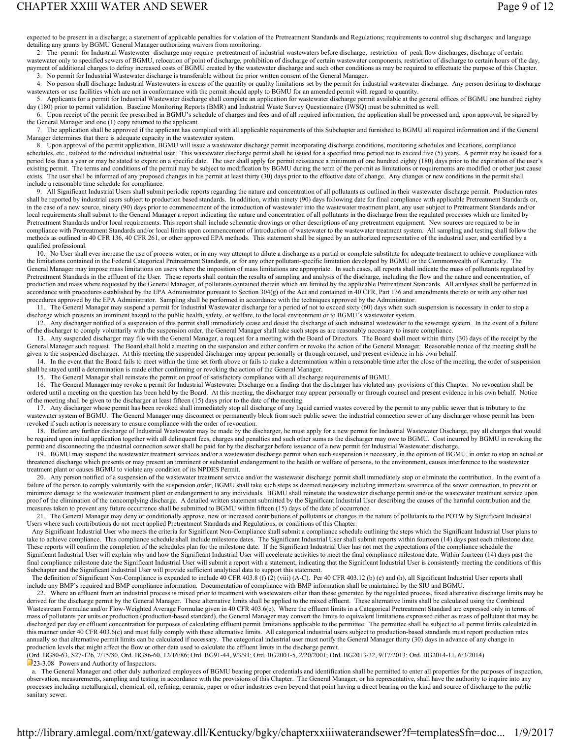## CHAPTER XXIII WATER AND SEWER **Page 9 of 12**

expected to be present in a discharge; a statement of applicable penalties for violation of the Pretreatment Standards and Regulations; requirements to control slug discharges; and language detailing any grants by BGMU General Manager authorizing waivers from monitoring.

 2. The permit for Industrial Wastewater discharge may require pretreatment of industrial wastewaters before discharge, restriction of peak flow discharges, discharge of certain wastewater only to specified sewers of BGMU, relocation of point of discharge, prohibition of discharge of certain wastewater components, restriction of discharge to certain hours of the day,

payment of additional charges to defray increased costs of BGMU created by the wastewater discharge and such other conditions as may be required to effectuate the purpose of this Chapter. 3. No permit for Industrial Wastewater discharge is transferable without the prior written consent of the General Manager. 4. No person shall discharge Industrial Wastewaters in excess of the quantity or quality limitations set by the permit for industrial wastewater discharge. Any person desiring to discharge

wastewaters or use facilities which are not in conformance with the permit should apply to BGMU for an amended permit with regard to quantity.

 5. Applicants for a permit for Industrial Wastewater discharge shall complete an application for wastewater discharge permit available at the general offices of BGMU one hundred eighty day (180) prior to permit validation. Baseline Monitoring Reports (BMR) and Industrial Waste Survey Questionnaire (IWSQ) must be submitted as well.

 6. Upon receipt of the permit fee prescribed in BGMU's schedule of charges and fees and of all required information, the application shall be processed and, upon approval, be signed by the General Manager and one (1) copy returned to the applicant.

 7. The application shall be approved if the applicant has complied with all applicable requirements of this Subchapter and furnished to BGMU all required information and if the General Manager determines that there is adequate capacity in the wastewater system.

 8. Upon approval of the permit application, BGMU will issue a wastewater discharge permit incorporating discharge conditions, monitoring schedules and locations, compliance schedules, etc., tailored to the individual industrial user. This wastewater discharge permit shall be issued for a specified time period not to exceed five (5) years. A permit may be issued for a period less than a year or may be stated to expire on a specific date. The user shall apply for permit reissuance a minimum of one hundred eighty (180) days prior to the expiration of the user's existing permit. The terms and conditions of the permit may be subject to modification by BGMU during the term of the per-mit as limitations or requirements are modified or other just cause exists. The user shall be informed of any proposed changes in his permit at least thirty (30) days prior to the effective date of change. Any changes or new conditions in the permit shall include a reasonable time schedule for compliance.

All Significant Industrial Users shall submit periodic reports regarding the nature and concentration of all pollutants as outlined in their wastewater discharge permit. Production rates shall be reported by industrial users subject to production based standards. In addition, within ninety (90) days following date for final compliance with applicable Pretreatment Standards or, in the case of a new source, ninety (90) days prior to commencement of the introduction of wastewater into the wastewater treatment plant, any user subject to Pretreatment Standards and/or local requirements shall submit to the General Manager a report indicating the nature and concentration of all pollutants in the discharge from the regulated processes which are limited by Pretreatment Standards and/or local requirements. This report shall include schematic drawings or other descriptions of any pretreatment equipment. New sources are required to be in compliance with Pretreatment Standards and/or local limits upon commencement of introduction of wastewater to the wastewater treatment system. All sampling and testing shall follow the methods as outlined in 40 CFR 136, 40 CFR 261, or other approved EPA methods. This statement shall be signed by an authorized representative of the industrial user, and certified by a qualified professional.

10. No User shall ever increase the use of process water, or in any way attempt to dilute a discharge as a partial or complete substitute for adequate treatment to achieve compliance with the limitations contained in the Federal Categorical Pretreatment Standards, or for any other pollutant-specific limitation developed by BGMU or the Commonwealth of Kentucky. The General Manager may impose mass limitations on users where the imposition of mass limitations are appropriate. In such cases, all reports shall indicate the mass of pollutants regulated by Pretreatment Standards in the effluent of the User. These reports shall contain the results of sampling and analysis of the discharge, including the flow and the nature and concentration, of production and mass where requested by the General Manager, of pollutants contained therein which are limited by the applicable Pretreatment Standards. All analyses shall be performed in accordance with procedures established by the EPA Administrator pursuant to Section 304(g) of the Act and contained in 40 CFR, Part 136 and amendments thereto or with any other test procedures approved by the EPA Administrator. Sampling shall be performed in accordance with the techniques approved by the Administrator.

 11. The General Manager may suspend a permit for Industrial Wastewater discharge for a period of not to exceed sixty (60) days when such suspension is necessary in order to stop a discharge which presents an imminent hazard to the public health, safety, or welfare, to the local environment or to BGMU's wastewater system.

 12. Any discharger notified of a suspension of this permit shall immediately cease and desist the discharge of such industrial wastewater to the sewerage system. In the event of a failure of the discharger to comply voluntarily with the suspension order, the General Manager shall take such steps as are reasonably necessary to insure compliance.

 13. Any suspended discharger may file with the General Manager, a request for a meeting with the Board of Directors. The Board shall meet within thirty (30) days of the receipt by the General Manager such request. The Board shall hold a meeting on the suspension and either confirm or revoke the action of the General Manager. Reasonable notice of the meeting shall be given to the suspended discharger. At this meeting the suspended discharger may appear personally or through counsel, and present evidence in his own behalf.

14. In the event that the Board fails to meet within the time set forth above or fails to make a determination within a reasonable time after the close of the meeting, the order of suspension shall be stayed until a determination is made either confirming or revoking the action of the General Manager.

15. The General Manager shall reinstate the permit on proof of satisfactory compliance with all discharge requirements of BGMU.

 16. The General Manager may revoke a permit for Industrial Wastewater Discharge on a finding that the discharger has violated any provisions of this Chapter. No revocation shall be ordered until a meeting on the question has been held by the Board. At this meeting, the discharger may appear personally or through counsel and present evidence in his own behalf. Notice of the meeting shall be given to the discharger at least fifteen (15) days prior to the date of the meeting.

17. Any discharger whose permit has been revoked shall immediately stop all discharge of any liquid carried wastes covered by the permit to any public sewer that is tributary to the wastewater system of BGMU. The General Manager may disconnect or permanently block from such public sewer the industrial connection sewer of any discharger whose permit has been revoked if such action is necessary to ensure compliance with the order of revocation.

 18. Before any further discharge of Industrial Wastewater may be made by the discharger, he must apply for a new permit for Industrial Wastewater Discharge, pay all charges that would be required upon initial application together with all delinquent fees, charges and penalties and such other sums as the discharger may owe to BGMU. Cost incurred by BGMU in revoking the permit and disconnecting the industrial connection sewer shall be paid for by the discharger before issuance of a new permit for Industrial Wastewater discharge.

 19. BGMU may suspend the wastewater treatment services and/or a wastewater discharge permit when such suspension is necessary, in the opinion of BGMU, in order to stop an actual or threatened discharge which presents or may present an imminent or substantial endangerment to the health or welfare of persons, to the environment, causes interference to the wastewater treatment plant or causes BGMU to violate any condition of its NPDES Permit.

20. Any person notified of a suspension of the wastewater treatment service and/or the wastewater discharge permit shall immediately stop or eliminate the contribution. In the event of a failure of the person to comply voluntarily with the suspension order, BGMU shall take such steps as deemed necessary including immediate severance of the sewer connection, to prevent or minimize damage to the wastewater treatment plant or endangerment to any individuals. BGMU shall reinstate the wastewater discharge permit and/or the wastewater treatment service upon proof of the elimination of the noncomplying discharge. A detailed written statement submitted by the Significant Industrial User describing the causes of the harmful contribution and the measures taken to prevent any future occurrence shall be submitted to BGMU within fifteen (15) days of the date of occurrence.

 21. The General Manager may deny or conditionally approve, new or increased contributions of pollutants or changes in the nature of pollutants to the POTW by Significant Industrial Users where such contributions do not meet applied Pretreatment Standards and Regulations, or conditions of this Chapter.

Any Significant Industrial User who meets the criteria for Significant Non-Compliance shall submit a compliance schedule outlining the steps which the Significant Industrial User plans to take to achieve compliance. This compliance schedule shall include milestone dates. The Significant Industrial User shall submit reports within fourteen (14) days past each milestone date. These reports will confirm the completion of the schedules plan for the milestone date. If the Significant Industrial User has not met the expectations of the compliance schedule the Significant Industrial User will explain why and how the Significant Industrial User will accelerate activities to meet the final compliance milestone date. Within fourteen (14) days past the final compliance milestone date the Significant Industrial User will submit a report with a statement, indicating that the Significant Industrial User is consistently meeting the conditions of this Subchapter and the Significant Industrial User will provide sufficient analytical data to support this statement.

The definition of Significant Non-Compliance is expanded to include 40 CFR 403.8 (f) (2) (viii) (A-C). Per 40 CFR 403.12 (b) (e) and (h), all Significant Industrial User reports shall include any BMP's required and BMP compliance information. Documentation of compliance with BMP information shall be maintained by the SIU and BGMU.

22. Where an effluent from an industrial process is mixed prior to treatment with wastewaters other than those generated by the regulated process, fixed alternative discharge limits may be derived for the discharge permit by the General Manager. These alternative limits shall be applied to the mixed effluent. These alternative limits shall be calculated using the Combined Wastestream Formulae and/or Flow-Weighted Average Formulae given in 40 CFR 403.6(e). Where the effluent limits in a Categorical Pretreatment Standard are expressed only in terms of mass of pollutants per units or production (production-based standard), the General Manager may convert the limits to equivalent limitations expressed either as mass of pollutant that may be discharged per day or effluent concentration for purposes of calculating effluent permit limitations applicable to the permittee. The permittee shall be subject to all permit limits calculated in this manner under 40 CFR 403.6(c) and must fully comply with these alternative limits. All categorical industrial users subject to production-based standards must report production rates annually so that alternative permit limits can be calculated if necessary. The categorical industrial user must notify the General Manager thirty (30) days in advance of any change in production levels that might affect the flow or other data used to calculate the effluent limits in the discharge permit.

(Ord. BG80-63, S27-126, 7/15/80, Ord. BG86-60, 12/16/86; Ord. BG91-44, 9/3/91; Ord. BG2001-5, 2/20/2001; Ord. BG2013-32, 9/17/2013; Ord. BG2014-11, 6/3/2014) 23-3.08 Powers and Authority of Inspectors.

 a. The General Manager and other duly authorized employees of BGMU bearing proper credentials and identification shall be permitted to enter all properties for the purposes of inspection, observation, measurements, sampling and testing in accordance with the provisions of this Chapter. The General Manager, or his representative, shall have the authority to inquire into any processes including metallurgical, chemical, oil, refining, ceramic, paper or other industries even beyond that point having a direct bearing on the kind and source of discharge to the public sanitary sewer.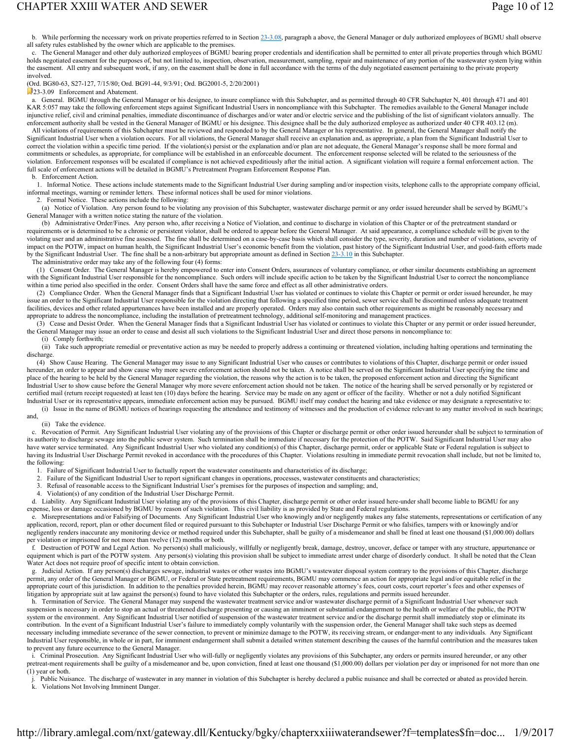# CHAPTER XXIII WATER AND SEWER **Page 10 of 12**

b. While performing the necessary work on private properties referred to in Section 23-3.08, paragraph a above, the General Manager or duly authorized employees of BGMU shall observe all safety rules established by the owner which are applicable to the premises.

 c. The General Manager and other duly authorized employees of BGMU bearing proper credentials and identification shall be permitted to enter all private properties through which BGMU holds negotiated easement for the purposes of, but not limited to, inspection, observation, measurement, sampling, repair and maintenance of any portion of the wastewater system lying within the easement. All entry and subsequent work, if any, on the easement shall be done in full accordance with the terms of the duly negotiated easement pertaining to the private property involved.

(Ord. BG80-63, S27-127, 7/15/80; Ord. BG91-44, 9/3/91; Ord. BG2001-5, 2/20/2001)

23-3.09 Enforcement and Abatement.

 a. General. BGMU through the General Manager or his designee, to insure compliance with this Subchapter, and as permitted through 40 CFR Subchapter N, 401 through 471 and 401 KAR 5:057 may take the following enforcement steps against Significant Industrial Users in noncompliance with this Subchapter. The remedies available to the General Manager include injunctive relief, civil and criminal penalties, immediate discontinuance of discharges and/or water and/or electric service and the publishing of the list of significant violators annually. The enforcement authority shall be vested in the General Manager of BGMU or his designee. This designee shall be the duly authorized employee as authorized under 40 CFR 403.12 (m).

All violations of requirements of this Subchapter must be reviewed and responded to by the General Manager or his representative. In general, the General Manager shall notify the Significant Industrial User when a violation occurs. For all violations, the General Manager shall receive an explanation and, as appropriate, a plan from the Significant Industrial User to correct the violation within a specific time period. If the violation(s) persist or the explanation and/or plan are not adequate, the General Manager's response shall be more formal and commitments or schedules, as appropriate, for compliance will be established in an enforceable document. The enforcement response selected will be related to the seriousness of the violation. Enforcement responses will be escalated if compliance is not achieved expeditiously after the initial action. A significant violation will require a formal enforcement action. The full scale of enforcement actions will be detailed in BGMU's Pretreatment Program Enforcement Response Plan.

b. Enforcement Action.

 1. Informal Notice. These actions include statements made to the Significant Industrial User during sampling and/or inspection visits, telephone calls to the appropriate company official, informal meetings, warning or reminder letters. These informal notices shall be used for minor violations.

2. Formal Notice. These actions include the following:

 (a) Notice of Violation. Any person found to be violating any provision of this Subchapter, wastewater discharge permit or any order issued hereunder shall be served by BGMU's General Manager with a written notice stating the nature of the violation.

 (b) Administrative Order/Fines. Any person who, after receiving a Notice of Violation, and continue to discharge in violation of this Chapter or of the pretreatment standard or requirements or is determined to be a chronic or persistent violator, shall be ordered to appear before the General Manager. At said appearance, a compliance schedule will be given to the violating user and an administrative fine assessed. The fine shall be determined on a case-by-case basis which shall consider the type, severity, duration and number of violations, severity of impact on the POTW, impact on human health, the Significant Industrial User's economic benefit from the violation, past history of the Significant Industrial User, and good-faith efforts made by the Significant Industrial User. The fine shall be a non-arbitrary but appropriate amount as defined in Section  $23-3.10$  in this Subchapter.

The administrative order may take any of the following four (4) forms:

 (1) Consent Order. The General Manager is hereby empowered to enter into Consent Orders, assurances of voluntary compliance, or other similar documents establishing an agreement with the Significant Industrial User responsible for the noncompliance. Such orders will include specific action to be taken by the Significant Industrial User to correct the noncompliance within a time period also specified in the order. Consent Orders shall have the same force and effect as all other administrative orders.

 (2) Compliance Order. When the General Manager finds that a Significant Industrial User has violated or continues to violate this Chapter or permit or order issued hereunder, he may issue an order to the Significant Industrial User responsible for the violation directing that following a specified time period, sewer service shall be discontinued unless adequate treatment facilities, devices and other related appurtenances have been installed and are properly operated. Orders may also contain such other requirements as might be reasonably necessary and appropriate to address the noncompliance, including the installation of pretreatment technology, additional self-monitoring and management practices.

 (3) Cease and Desist Order. When the General Manager finds that a Significant Industrial User has violated or continues to violate this Chapter or any permit or order issued hereunder, the General Manager may issue an order to cease and desist all such violations to the Significant Industrial User and direct those persons in noncompliance to:

(i) Comply forthwith;

 (ii) Take such appropriate remedial or preventative action as may be needed to properly address a continuing or threatened violation, including halting operations and terminating the discharge.

 (4) Show Cause Hearing. The General Manager may issue to any Significant Industrial User who causes or contributes to violations of this Chapter, discharge permit or order issued hereunder, an order to appear and show cause why more severe enforcement action should not be taken. A notice shall be served on the Significant Industrial User specifying the time and place of the hearing to be held by the General Manager regarding the violation, the reasons why the action is to be taken, the proposed enforcement action and directing the Significant Industrial User to show cause before the General Manager why more severe enforcement action should not be taken. The notice of the hearing shall be served personally or by registered or certified mail (return receipt requested) at least ten (10) days before the hearing. Service may be made on any agent or officer of the facility. Whether or not a duly notified Significant Industrial User or its representative appears, immediate enforcement action may be pursued. BGMU itself may conduct the hearing and take evidence or may designate a representative to:

 (i) Issue in the name of BGMU notices of hearings requesting the attendance and testimony of witnesses and the production of evidence relevant to any matter involved in such hearings; and,

#### (ii) Take the evidence.

 c. Revocation of Permit. Any Significant Industrial User violating any of the provisions of this Chapter or discharge permit or other order issued hereunder shall be subject to termination of its authority to discharge sewage into the public sewer system. Such termination shall be immediate if necessary for the protection of the POTW. Said Significant Industrial User may also have water service terminated. Any Significant Industrial User who violated any condition(s) of this Chapter, discharge permit, order or applicable State or Federal regulation is subject to having its Industrial User Discharge Permit revoked in accordance with the procedures of this Chapter. Violations resulting in immediate permit revocation shall include, but not be limited to, the following:

1. Failure of Significant Industrial User to factually report the wastewater constituents and characteristics of its discharge;

- 2. Failure of the Significant Industrial User to report significant changes in operations, processes, wastewater constituents and characteristics;<br>3. Refusal of reasonable access to the Significant Industrial User's premis
- 3. Refusal of reasonable access to the Significant Industrial User's premises for the purposes of inspection and sampling; and,
- 4. Violation(s) of any condition of the Industrial User Discharge Permit.

 d. Liability. Any Significant Industrial User violating any of the provisions of this Chapter, discharge permit or other order issued here-under shall become liable to BGMU for any expense, loss or damage occasioned by BGMU by reason of such violation. This civil liability is as provided by State and Federal regulations.

e. Misrepresentations and/or Falsifying of Documents. Any Significant Industrial User who knowingly and/or negligently makes any false statements, representations or certification of any application, record, report, plan or other document filed or required pursuant to this Subchapter or Industrial User Discharge Permit or who falsifies, tampers with or knowingly and/or negligently renders inaccurate any monitoring device or method required under this Subchapter, shall be guilty of a misdemeanor and shall be fined at least one thousand (\$1,000.00) dollars per violation or imprisoned for not more than twelve (12) months or both.

 f. Destruction of POTW and Legal Action. No person(s) shall maliciously, willfully or negligently break, damage, destroy, uncover, deface or tamper with any structure, appurtenance or equipment which is part of the POTW system. Any person(s) violating this provision shall be subject to immediate arrest under charge of disorderly conduct. It shall be noted that the Clean Water Act does not require proof of specific intent to obtain conviction.

 g. Judicial Action. If any person(s) discharges sewage, industrial wastes or other wastes into BGMU's wastewater disposal system contrary to the provisions of this Chapter, discharge permit, any order of the General Manager or BGMU, or Federal or State pretreatment requirements, BGMU may commence an action for appropriate legal and/or equitable relief in the appropriate court of this jurisdiction. In addition to the penalties provided herein, BGMU may recover reasonable attorney's fees, court costs, court reporter's fees and other expenses of litigation by appropriate suit at law against the person(s) found to have violated this Subchapter or the orders, rules, regulations and permits issued hereunder.

h. Termination of Service. The General Manager may suspend the wastewater treatment service and/or wastewater discharge permit of a Significant Industrial User whenever such suspension is necessary in order to stop an actual or threatened discharge presenting or causing an imminent or substantial endangerment to the health or welfare of the public, the POTW system or the environment. Any Significant Industrial User notified of suspension of the wastewater treatment service and/or the discharge permit shall immediately stop or eliminate its contribution. In the event of a Significant Industrial User's failure to immediately comply voluntarily with the suspension order, the General Manager shall take such steps as deemed necessary including immediate severance of the sewer connection, to prevent or minimize damage to the POTW, its receiving stream, or endanger-ment to any individuals. Any Significant Industrial User responsible, in whole or in part, for imminent endangerment shall submit a detailed written statement describing the causes of the harmful contribution and the measures taken to prevent any future occurrence to the General Manager.

 $\hat{i}$ . Criminal Prosecution. Any Significant Industrial User who will-fully or negligently violates any provisions of this Subchapter, any orders or permits insured hereunder, or any other pretreat-ment requirements shall be guilty of a misdemeanor and be, upon conviction, fined at least one thousand (\$1,000.00) dollars per violation per day or imprisoned for not more than one (1) year or both.

 j. Public Nuisance. The discharge of wastewater in any manner in violation of this Subchapter is hereby declared a public nuisance and shall be corrected or abated as provided herein. k. Violations Not Involving Imminent Danger.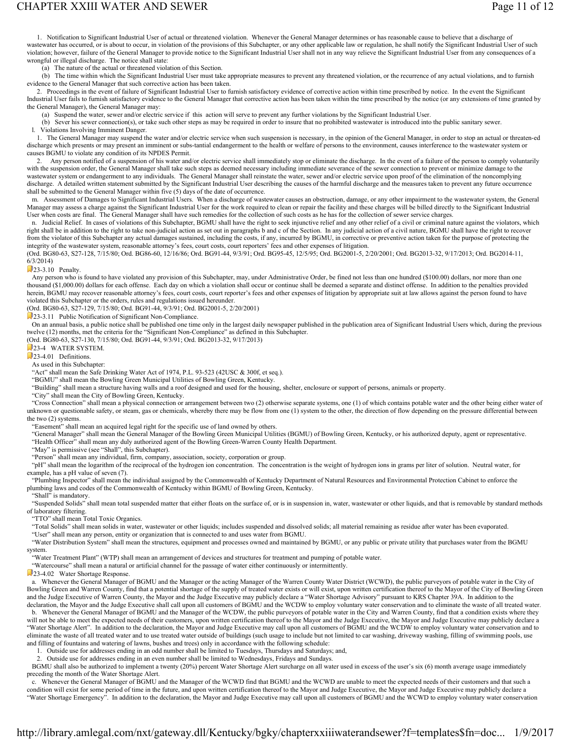1. Notification to Significant Industrial User of actual or threatened violation. Whenever the General Manager determines or has reasonable cause to believe that a discharge of wastewater has occurred, or is about to occur, in violation of the provisions of this Subchapter, or any other applicable law or regulation, he shall notify the Significant Industrial User of such violation; however, failure of the General Manager to provide notice to the Significant Industrial User shall not in any way relieve the Significant Industrial User from any consequences of a wrongful or illegal discharge. The notice shall state:

(a) The nature of the actual or threatened violation of this Section.

 (b) The time within which the Significant Industrial User must take appropriate measures to prevent any threatened violation, or the recurrence of any actual violations, and to furnish evidence to the General Manager that such corrective action has been taken.

 2. Proceedings in the event of failure of Significant Industrial User to furnish satisfactory evidence of corrective action within time prescribed by notice. In the event the Significant Industrial User fails to furnish satisfactory evidence to the General Manager that corrective action has been taken within the time prescribed by the notice (or any extensions of time granted by the General Manager), the General Manager may:

(a) Suspend the water, sewer and/or electric service if this action will serve to prevent any further violations by the Significant Industrial User.

(b) Sever his sewer connection(s), or take such other steps as may be required in order to insure that no prohibited wastewater is introduced into the public sanitary sewer.

l. Violations Involving Imminent Danger.

 1. The General Manager may suspend the water and/or electric service when such suspension is necessary, in the opinion of the General Manager, in order to stop an actual or threaten-ed discharge which presents or may present an imminent or subs-tantial endangerment to the health or welfare of persons to the environment, causes interference to the wastewater system or causes BGMU to violate any condition of its NPDES Permit.

2. Any person notified of a suspension of his water and/or electric service shall immediately stop or eliminate the discharge. In the event of a failure of the person to comply voluntarily with the suspension order, the General Manager shall take such steps as deemed necessary including immediate severance of the sewer connection to prevent or minimize damage to the wastewater system or endangerment to any individuals. The General Manager shall reinstate the water, sewer and/or electric service upon proof of the elimination of the noncomplying discharge. A detailed written statement submitted by the Significant Industrial User describing the causes of the harmful discharge and the measures taken to prevent any future occurrence shall be submitted to the General Manager within five (5) days of the date of occurrence.

 m. Assessment of Damages to Significant Industrial Users. When a discharge of wastewater causes an obstruction, damage, or any other impairment to the wastewater system, the General Manager may assess a charge against the Significant Industrial User for the work required to clean or repair the facility and these charges will be billed directly to the Significant Industrial User when costs are final. The General Manager shall have such remedies for the collection of such costs as he has for the collection of sewer service charges.

 n. Judicial Relief. In cases of violations of this Subchapter, BGMU shall have the right to seek injunctive relief and any other relief of a civil or criminal nature against the violators, which right shall be in addition to the right to take non-judicial action as set out in paragraphs b and c of the Section. In any judicial action of a civil nature, BGMU shall have the right to recover from the violator of this Subchapter any actual damages sustained, including the costs, if any, incurred by BGMU, in corrective or preventive action taken for the purpose of protecting the integrity of the wastewater system, reasonable attorney's fees, court costs, court reporters' fees and other expenses of litigation.

(Ord. BG80-63, S27-128, 7/15/80; Ord. BG86-60, 12/16/86; Ord. BG91-44, 9/3/91; Ord. BG95-45, 12/5/95; Ord. BG2001-5, 2/20/2001; Ord. BG2013-32, 9/17/2013; Ord. BG2014-11, 6/3/2014)

 $23-3.10$  Penalty.

 Any person who is found to have violated any provision of this Subchapter, may, under Administrative Order, be fined not less than one hundred (\$100.00) dollars, nor more than one thousand (\$1,000.00) dollars for each offense. Each day on which a violation shall occur or continue shall be deemed a separate and distinct offense. In addition to the penalties provided herein, BGMU may recover reasonable attorney's fees, court costs, court reporter's fees and other expenses of litigation by appropriate suit at law allows against the person found to have violated this Subchapter or the orders, rules and regulations issued hereunder.

(Ord. BG80-63, S27-129, 7/15/80; Ord. BG91-44, 9/3/91; Ord. BG2001-5, 2/20/2001)

**23-3.11** Public Notification of Significant Non-Compliance.

 On an annual basis, a public notice shall be published one time only in the largest daily newspaper published in the publication area of Significant Industrial Users which, during the previous twelve (12) months, met the criteria for the "Significant Non-Compliance" as defined in this Subchapter.

(Ord. BG80-63, S27-130, 7/15/80; Ord. BG91-44, 9/3/91; Ord. BG2013-32, 9/17/2013)

**23-4 WATER SYSTEM.** 

23-4.01 Definitions.

As used in this Subchapter:

"Act" shall mean the Safe Drinking Water Act of 1974, P.L. 93-523 (42USC & 300f, et seq.).

"BGMU" shall mean the Bowling Green Municipal Utilities of Bowling Green, Kentucky.

"Building" shall mean a structure having walls and a roof designed and used for the housing, shelter, enclosure or support of persons, animals or property.

"City" shall mean the City of Bowling Green, Kentucky.

 "Cross Connection" shall mean a physical connection or arrangement between two (2) otherwise separate systems, one (1) of which contains potable water and the other being either water of unknown or questionable safety, or steam, gas or chemicals, whereby there may be flow from one (1) system to the other, the direction of flow depending on the pressure differential between the two (2) systems.

"Easement" shall mean an acquired legal right for the specific use of land owned by others.

 "General Manager" shall mean the General Manager of the Bowling Green Municipal Utilities (BGMU) of Bowling Green, Kentucky, or his authorized deputy, agent or representative. "Health Officer" shall mean any duly authorized agent of the Bowling Green-Warren County Health Department.

"May" is permissive (see "Shall", this Subchapter).

"Person" shall mean any individual, firm, company, association, society, corporation or group.

 "pH" shall mean the logarithm of the reciprocal of the hydrogen ion concentration. The concentration is the weight of hydrogen ions in grams per liter of solution. Neutral water, for example, has a pH value of seven (7).

 "Plumbing Inspector" shall mean the individual assigned by the Commonwealth of Kentucky Department of Natural Resources and Environmental Protection Cabinet to enforce the plumbing laws and codes of the Commonwealth of Kentucky within BGMU of Bowling Green, Kentucky.

 "Shall" is mandatory. "Suspended Solids" shall mean total suspended matter that either floats on the surface of, or is in suspension in, water, wastewater or other liquids, and that is removable by standard methods

of laboratory filtering.

"TTO" shall mean Total Toxic Organics.

"Total Solids" shall mean solids in water, wastewater or other liquids; includes suspended and dissolved solids; all material remaining as residue after water has been evaporated.

"User" shall mean any person, entity or organization that is connected to and uses water from BGMU.

 "Water Distribution System" shall mean the structures, equipment and processes owned and maintained by BGMU, or any public or private utility that purchases water from the BGMU system.

"Water Treatment Plant" (WTP) shall mean an arrangement of devices and structures for treatment and pumping of potable water.

"Watercourse" shall mean a natural or artificial channel for the passage of water either continuously or intermittently.

23-4.02 Water Shortage Response.

 a. Whenever the General Manager of BGMU and the Manager or the acting Manager of the Warren County Water District (WCWD), the public purveyors of potable water in the City of Bowling Green and Warren County, find that a potential shortage of the supply of treated water exists or will exist, upon written certification thereof to the Mayor of the City of Bowling Green and the Judge Executive of Warren County, the Mayor and the Judge Executive may publicly declare a "Water Shortage Advisory" pursuant to KRS Chapter 39A. In addition to the declaration, the Mayor and the Judge Executive shall call upon all customers of BGMU and the WCDW to employ voluntary water conservation and to eliminate the waste of all treated water.

 b. Whenever the General Manager of BGMU and the Manager of the WCDW, the public purveyors of potable water in the City and Warren County, find that a condition exists where they will not be able to meet the expected needs of their customers, upon written certification thereof to the Mayor and the Judge Executive, the Mayor and Judge Executive may publicly declare a "Water Shortage Alert". In addition to the declaration, the Mayor and Judge Executive may call upon all customers of BGMU and the WCDW to employ voluntary water conservation and to eliminate the waste of all treated water and to use treated water outside of buildings (such usage to include but not limited to car washing, driveway washing, filling of swimming pools, use and filling of fountains and watering of lawns, bushes and trees) only in accordance with the following schedule:

1. Outside use for addresses ending in an odd number shall be limited to Tuesdays, Thursdays and Saturdays; and,

2. Outside use for addresses ending in an even number shall be limited to Wednesdays, Fridays and Sundays.

 BGMU shall also be authorized to implement a twenty (20%) percent Water Shortage Alert surcharge on all water used in excess of the user's six (6) month average usage immediately preceding the month of the Water Shortage Alert.

 c. Whenever the General Manager of BGMU and the Manager of the WCWD find that BGMU and the WCWD are unable to meet the expected needs of their customers and that such a condition will exist for some period of time in the future, and upon written certification thereof to the Mayor and Judge Executive, the Mayor and Judge Executive may publicly declare a "Water Shortage Emergency". In addition to the declaration, the Mayor and Judge Executive may call upon all customers of BGMU and the WCWD to employ voluntary water conservation